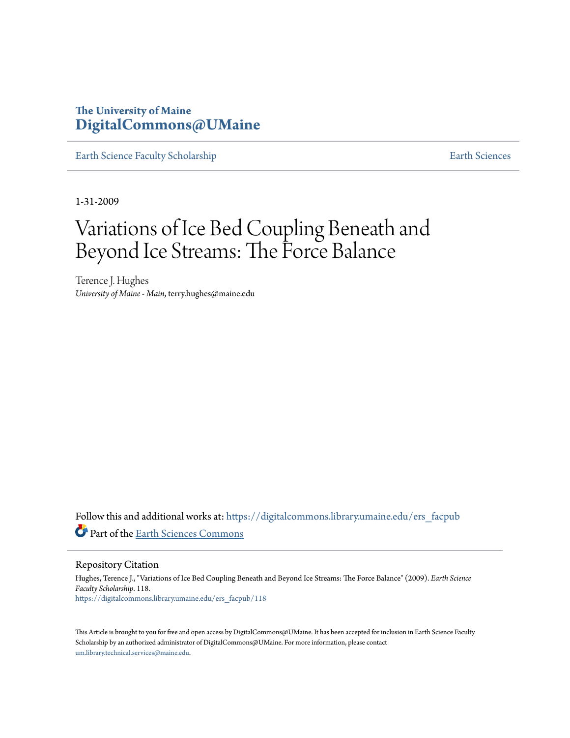## **The University of Maine [DigitalCommons@UMaine](https://digitalcommons.library.umaine.edu?utm_source=digitalcommons.library.umaine.edu%2Fers_facpub%2F118&utm_medium=PDF&utm_campaign=PDFCoverPages)**

[Earth Science Faculty Scholarship](https://digitalcommons.library.umaine.edu/ers_facpub?utm_source=digitalcommons.library.umaine.edu%2Fers_facpub%2F118&utm_medium=PDF&utm_campaign=PDFCoverPages) **[Earth Sciences](https://digitalcommons.library.umaine.edu/ers?utm_source=digitalcommons.library.umaine.edu%2Fers_facpub%2F118&utm_medium=PDF&utm_campaign=PDFCoverPages)** 

1-31-2009

# Variations of Ice Bed Coupling Beneath and Beyond Ice Streams: The Force Balance

Terence J. Hughes *University of Maine - Main*, terry.hughes@maine.edu

Follow this and additional works at: [https://digitalcommons.library.umaine.edu/ers\\_facpub](https://digitalcommons.library.umaine.edu/ers_facpub?utm_source=digitalcommons.library.umaine.edu%2Fers_facpub%2F118&utm_medium=PDF&utm_campaign=PDFCoverPages) Part of the [Earth Sciences Commons](http://network.bepress.com/hgg/discipline/153?utm_source=digitalcommons.library.umaine.edu%2Fers_facpub%2F118&utm_medium=PDF&utm_campaign=PDFCoverPages)

Repository Citation

Hughes, Terence J., "Variations of Ice Bed Coupling Beneath and Beyond Ice Streams: The Force Balance" (2009). *Earth Science Faculty Scholarship*. 118. [https://digitalcommons.library.umaine.edu/ers\\_facpub/118](https://digitalcommons.library.umaine.edu/ers_facpub/118?utm_source=digitalcommons.library.umaine.edu%2Fers_facpub%2F118&utm_medium=PDF&utm_campaign=PDFCoverPages)

This Article is brought to you for free and open access by DigitalCommons@UMaine. It has been accepted for inclusion in Earth Science Faculty Scholarship by an authorized administrator of DigitalCommons@UMaine. For more information, please contact [um.library.technical.services@maine.edu](mailto:um.library.technical.services@maine.edu).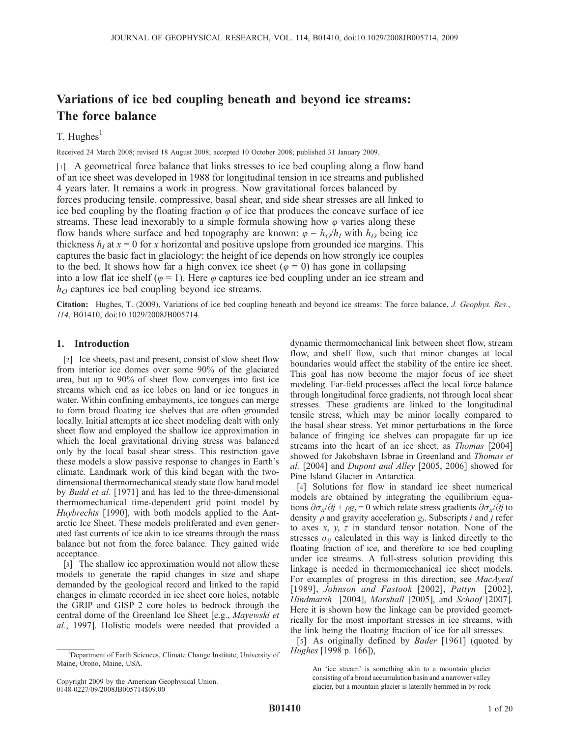## Variations of ice bed coupling beneath and beyond ice streams: The force balance

### T. Hughes $<sup>1</sup>$ </sup>

Received 24 March 2008; revised 18 August 2008; accepted 10 October 2008; published 31 January 2009.

[1] A geometrical force balance that links stresses to ice bed coupling along a flow band of an ice sheet was developed in 1988 for longitudinal tension in ice streams and published 4 years later. It remains a work in progress. Now gravitational forces balanced by forces producing tensile, compressive, basal shear, and side shear stresses are all linked to ice bed coupling by the floating fraction  $\varphi$  of ice that produces the concave surface of ice streams. These lead inexorably to a simple formula showing how  $\varphi$  varies along these flow bands where surface and bed topography are known:  $\varphi = h_O/h_I$  with  $h_O$  being ice thickness  $h<sub>I</sub>$  at  $x = 0$  for x horizontal and positive upslope from grounded ice margins. This captures the basic fact in glaciology: the height of ice depends on how strongly ice couples to the bed. It shows how far a high convex ice sheet ( $\varphi = 0$ ) has gone in collapsing into a low flat ice shelf ( $\varphi = 1$ ). Here  $\varphi$  captures ice bed coupling under an ice stream and  $h<sub>O</sub>$  captures ice bed coupling beyond ice streams.

Citation: Hughes, T. (2009), Variations of ice bed coupling beneath and beyond ice streams: The force balance, J. Geophys. Res., 114, B01410, doi:10.1029/2008JB005714.

#### 1. Introduction

[2] Ice sheets, past and present, consist of slow sheet flow from interior ice domes over some 90% of the glaciated area, but up to 90% of sheet flow converges into fast ice streams which end as ice lobes on land or ice tongues in water. Within confining embayments, ice tongues can merge to form broad floating ice shelves that are often grounded locally. Initial attempts at ice sheet modeling dealt with only sheet flow and employed the shallow ice approximation in which the local gravitational driving stress was balanced only by the local basal shear stress. This restriction gave these models a slow passive response to changes in Earth's climate. Landmark work of this kind began with the twodimensional thermomechanical steady state flow band model by *Budd et al.* [1971] and has led to the three-dimensional thermomechanical time-dependent grid point model by Huybrechts [1990], with both models applied to the Antarctic Ice Sheet. These models proliferated and even generated fast currents of ice akin to ice streams through the mass balance but not from the force balance. They gained wide acceptance.

[3] The shallow ice approximation would not allow these models to generate the rapid changes in size and shape demanded by the geological record and linked to the rapid changes in climate recorded in ice sheet core holes, notable the GRIP and GISP 2 core holes to bedrock through the central dome of the Greenland Ice Sheet [e.g., Mayewski et al., 1997]. Holistic models were needed that provided a

Copyright 2009 by the American Geophysical Union. 0148-0227/09/2008JB005714\$09.00

dynamic thermomechanical link between sheet flow, stream flow, and shelf flow, such that minor changes at local boundaries would affect the stability of the entire ice sheet. This goal has now become the major focus of ice sheet modeling. Far-field processes affect the local force balance through longitudinal force gradients, not through local shear stresses. These gradients are linked to the longitudinal tensile stress, which may be minor locally compared to the basal shear stress. Yet minor perturbations in the force balance of fringing ice shelves can propagate far up ice streams into the heart of an ice sheet, as Thomas [2004] showed for Jakobshavn Isbrae in Greenland and Thomas et al. [2004] and Dupont and Alley [2005, 2006] showed for Pine Island Glacier in Antarctica.

[4] Solutions for flow in standard ice sheet numerical models are obtained by integrating the equilibrium equations  $\partial \sigma_{ij}/\partial j + \rho g_i = 0$  which relate stress gradients  $\partial \sigma_{ij}/\partial j$  to density  $\rho$  and gravity acceleration  $g_i$ . Subscripts i and j refer to axes  $x$ ,  $y$ ,  $z$  in standard tensor notation. None of the stresses  $\sigma_{ii}$  calculated in this way is linked directly to the floating fraction of ice, and therefore to ice bed coupling under ice streams. A full-stress solution providing this linkage is needed in thermomechanical ice sheet models. For examples of progress in this direction, see MacAyeal [1989], Johnson and Fastook [2002], Pattyn [2002], Hindmarsh [2004], Marshall [2005], and Schoof [2007]. Here it is shown how the linkage can be provided geometrically for the most important stresses in ice streams, with the link being the floating fraction of ice for all stresses.

[5] As originally defined by *Bader* [1961] (quoted by Hughes [1998 p. 166]),

An 'ice stream' is something akin to a mountain glacier consisting of a broad accumulation basin and a narrower valley glacier, but a mountain glacier is laterally hemmed in by rock

<sup>&</sup>lt;sup>1</sup>Department of Earth Sciences, Climate Change Institute, University of Maine, Orono, Maine, USA.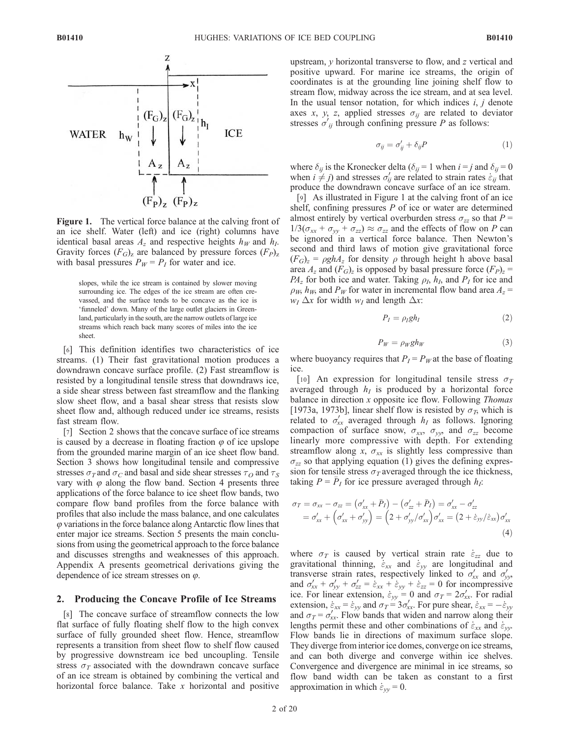

Figure 1. The vertical force balance at the calving front of an ice shelf. Water (left) and ice (right) columns have identical basal areas  $A_z$  and respective heights  $h_W$  and  $h_I$ . Gravity forces  $(F_G)_z$  are balanced by pressure forces  $(F_P)_z$ with basal pressures  $P_W = P_I$  for water and ice.

slopes, while the ice stream is contained by slower moving surrounding ice. The edges of the ice stream are often crevassed, and the surface tends to be concave as the ice is 'funneled' down. Many of the large outlet glaciers in Greenland, particularly in the south, are the narrow outlets of large ice streams which reach back many scores of miles into the ice sheet.

[6] This definition identifies two characteristics of ice streams. (1) Their fast gravitational motion produces a downdrawn concave surface profile. (2) Fast streamflow is resisted by a longitudinal tensile stress that downdraws ice, a side shear stress between fast streamflow and the flanking slow sheet flow, and a basal shear stress that resists slow sheet flow and, although reduced under ice streams, resists fast stream flow.

[7] Section 2 shows that the concave surface of ice streams is caused by a decrease in floating fraction  $\varphi$  of ice upslope from the grounded marine margin of an ice sheet flow band. Section 3 shows how longitudinal tensile and compressive stresses  $\sigma_T$  and  $\sigma_C$  and basal and side shear stresses  $\tau_O$  and  $\tau_S$ vary with  $\varphi$  along the flow band. Section 4 presents three applications of the force balance to ice sheet flow bands, two compare flow band profiles from the force balance with profiles that also include the mass balance, and one calculates  $\varphi$  variations in the force balance along Antarctic flow lines that enter major ice streams. Section 5 presents the main conclusions from using the geometrical approach to the force balance and discusses strengths and weaknesses of this approach. Appendix A presents geometrical derivations giving the dependence of ice stream stresses on  $\varphi$ .

#### 2. Producing the Concave Profile of Ice Streams

[8] The concave surface of streamflow connects the low flat surface of fully floating shelf flow to the high convex surface of fully grounded sheet flow. Hence, streamflow represents a transition from sheet flow to shelf flow caused by progressive downstream ice bed uncoupling. Tensile stress  $\sigma_T$  associated with the downdrawn concave surface of an ice stream is obtained by combining the vertical and horizontal force balance. Take  $x$  horizontal and positive upstream,  $\nu$  horizontal transverse to flow, and  $\tau$  vertical and positive upward. For marine ice streams, the origin of coordinates is at the grounding line joining shelf flow to stream flow, midway across the ice stream, and at sea level. In the usual tensor notation, for which indices  $i, j$  denote axes x, y, z, applied stresses  $\sigma_{ij}$  are related to deviator stresses  $\sigma'_{ij}$  through confining pressure P as follows:

$$
\sigma_{ij} = \sigma'_{ij} + \delta_{ij} P \tag{1}
$$

where  $\delta_{ij}$  is the Kronecker delta ( $\delta_{ij} = 1$  when  $i = j$  and  $\delta_{ij} = 0$ when  $i \neq j$ ) and stresses  $\sigma'_{ij}$  are related to strain rates  $\dot{\varepsilon}_{ij}$  that produce the downdrawn concave surface of an ice stream.

[9] As illustrated in Figure 1 at the calving front of an ice shelf, confining pressures  $P$  of ice or water are determined almost entirely by vertical overburden stress  $\sigma_{zz}$  so that  $P =$  $1/3(\sigma_{xx} + \sigma_{yy} + \sigma_{zz}) \approx \sigma_{zz}$  and the effects of flow on P can be ignored in a vertical force balance. Then Newton's second and third laws of motion give gravitational force  $(F_G)_z = \rho ghA_z$  for density  $\rho$  through height h above basal area  $A_z$  and  $(F_G)_z$  is opposed by basal pressure force  $(F_P)_z$  =  $PA<sub>z</sub>$  for both ice and water. Taking  $\rho<sub>I</sub>$ ,  $h<sub>I</sub>$ , and  $P<sub>I</sub>$  for ice and  $\rho_W$ , h<sub>W</sub>, and  $P_W$  for water in incremental flow band area  $A_z$  =  $w_I \Delta x$  for width  $w_I$  and length  $\Delta x$ :

$$
P_I = \rho_I g h_I \tag{2}
$$

$$
P_W = \rho_W g h_W \tag{3}
$$

where buoyancy requires that  $P_I = P_W$  at the base of floating ice.

[10] An expression for longitudinal tensile stress  $\sigma_T$ averaged through  $h_I$  is produced by a horizontal force balance in direction  $x$  opposite ice flow. Following *Thomas* [1973a, 1973b], linear shelf flow is resisted by  $\sigma$ <sub>T</sub>, which is related to  $\sigma'_{xx}$  averaged through  $h_I$  as follows. Ignoring compaction of surface snow,  $\sigma_{xx}$ ,  $\sigma_{yy}$ , and  $\sigma_{zz}$  become linearly more compressive with depth. For extending streamflow along x,  $\sigma_{xx}$  is slightly less compressive than  $\sigma_{zz}$  so that applying equation (1) gives the defining expression for tensile stress  $\sigma_T$  averaged through the ice thickness, taking  $P = \overline{P}_I$  for ice pressure averaged through  $h_I$ :

$$
\sigma_T = \sigma_{xx} - \sigma_{zz} = (\sigma'_{xx} + \bar{P}_I) - (\sigma'_{zz} + \bar{P}_I) = \sigma'_{xx} - \sigma'_{zz}
$$
  
=  $\sigma'_{xx} + (\sigma'_{xx} + \sigma'_{yy}) = (2 + \sigma'_{yy}/\sigma'_{xx})\sigma'_{xx} = (2 + \dot{\varepsilon}_{yy}/\dot{\varepsilon}_{xx})\sigma'_{xx}$  (4)

where  $\sigma_T$  is caused by vertical strain rate  $\dot{\varepsilon}_{zz}$  due to gravitational thinning,  $\dot{\varepsilon}_{xx}$  and  $\dot{\varepsilon}_{yy}$  are longitudinal and transverse strain rates, respectively linked to  $\sigma'_{xx}$  and  $\sigma'_{yy}$ , and  $\sigma'_{xx} + \sigma'_{yy} + \sigma'_{zz} = \dot{\varepsilon}_{xx} + \dot{\varepsilon}_{yy} + \dot{\varepsilon}_{zz} = 0$  for incompressive ice. For linear extension,  $\dot{\varepsilon}_{yy} = 0$  and  $\sigma_T = 2\sigma'_{xx}$ . For radial extension,  $\dot{\varepsilon}_{xx} = \dot{\varepsilon}_{yy}$  and  $\sigma_T = 3\sigma'_{xx}$ . For pure shear,  $\dot{\varepsilon}_{xx} = -\varepsilon_{yy}$ and  $\sigma_T = \sigma_{xx}^{\prime}$ . Flow bands that widen and narrow along their lengths permit these and other combinations of  $\dot{\varepsilon}_{xx}$  and  $\dot{\varepsilon}_{yy}$ . Flow bands lie in directions of maximum surface slope. They diverge from interior ice domes, converge on ice streams, and can both diverge and converge within ice shelves. Convergence and divergence are minimal in ice streams, so flow band width can be taken as constant to a first approximation in which  $\dot{\varepsilon}_{\nu\nu} = 0$ .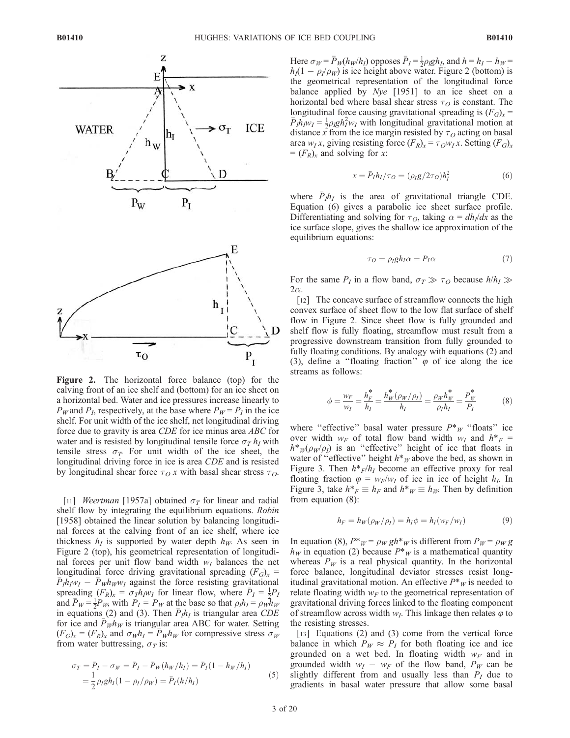

Figure 2. The horizontal force balance (top) for the calving front of an ice shelf and (bottom) for an ice sheet on a horizontal bed. Water and ice pressures increase linearly to  $P_W$  and  $P_I$ , respectively, at the base where  $P_W = P_I$  in the ice shelf. For unit width of the ice shelf, net longitudinal driving force due to gravity is area CDE for ice minus area ABC for water and is resisted by longitudinal tensile force  $\sigma_T h_I$  with tensile stress  $\sigma_T$ . For unit width of the ice sheet, the longitudinal driving force in ice is area CDE and is resisted by longitudinal shear force  $\tau_O x$  with basal shear stress  $\tau_O$ .

[11] *Weertman* [1957a] obtained  $\sigma_T$  for linear and radial shelf flow by integrating the equilibrium equations. Robin [1958] obtained the linear solution by balancing longitudinal forces at the calving front of an ice shelf, where ice thickness  $h_I$  is supported by water depth  $h_W$ . As seen in Figure 2 (top), his geometrical representation of longitudinal forces per unit flow band width  $w_I$  balances the net longitudinal force driving gravitational spreading  $(F_G)_x$  =  $\bar{P}_1 \bar{h}_1 w_1 - \bar{P}_W h_W w_1$  against the force resisting gravitational spreading  $(F_R)_x = \sigma_T h_I w_I$  for linear flow, where  $\bar{P}_I = \frac{1}{2} P_I$ and  $\overline{P}_W = \frac{1}{2}P_W$ , with  $P_I = P_W$  at the base so that  $\rho_I h_I = \rho_W h_W$ in equations (2) and (3). Then  $\bar{P}_I h_I$  is triangular area CDE for ice and  $\bar{P}_W h_W$  is triangular area ABC for water. Setting  $(F_G)_x = (F_R)_x$  and  $\sigma_W h_I = \overline{P}_W h_W$  for compressive stress  $\sigma_W$ from water buttressing,  $\sigma_T$  is:

$$
\sigma_T = \bar{P}_I - \sigma_W = \bar{P}_I - \bar{P}_W(h_W/h_I) = \bar{P}_I(1 - h_W/h_I)
$$
  
=  $\frac{1}{2} \rho_I g h_I (1 - \rho_I/\rho_W) = \bar{P}_I(h/h_I)$  (5)

Here  $\sigma_W = \bar{P}_W(h_W/h_I)$  opposes  $\bar{P}_I = \frac{1}{2}\rho_I g h_I$ , and  $h = h_I - h_W =$  $h_1(1 - \rho_1/\rho_W)$  is ice height above water. Figure 2 (bottom) is the geometrical representation of the longitudinal force balance applied by Nye [1951] to an ice sheet on a horizontal bed where basal shear stress  $\tau<sub>O</sub>$  is constant. The longitudinal force causing gravitational spreading is  $(F_G)_x$  =  $\bar{P}_I h_{I} w_I = \frac{1}{2} \rho_I g h_I^2 w_I$  with longitudinal gravitational motion at distance x from the ice margin resisted by  $\tau<sub>O</sub>$  acting on basal area w<sub>I</sub> x, giving resisting force  $(F_R)_x = \tau_O w_I x$ . Setting  $(F_G)_x$  $=(F_R)_x$  and solving for x:

$$
x = \bar{P}_I h_I / \tau_O = (\rho_I g / 2\tau_O) h_I^2 \tag{6}
$$

where  $\bar{P}_I h_I$  is the area of gravitational triangle CDE. Equation (6) gives a parabolic ice sheet surface profile. Differentiating and solving for  $\tau_O$ , taking  $\alpha = dh_l/dx$  as the ice surface slope, gives the shallow ice approximation of the equilibrium equations:

$$
\tau_O = \rho_I g h_I \alpha = P_I \alpha \tag{7}
$$

For the same  $P_I$  in a flow band,  $\sigma_T \gg \tau_O$  because  $h/h_I \gg$  $2\alpha$ .

[12] The concave surface of streamflow connects the high convex surface of sheet flow to the low flat surface of shelf flow in Figure 2. Since sheet flow is fully grounded and shelf flow is fully floating, streamflow must result from a progressive downstream transition from fully grounded to fully floating conditions. By analogy with equations (2) and (3), define a "floating fraction"  $\varphi$  of ice along the ice streams as follows:

$$
\phi = \frac{w_F}{w_I} = \frac{h_F^*}{h_I} = \frac{h_W^*(\rho_W/\rho_I)}{h_I} = \frac{\rho_W h_W^*}{\rho_I h_I} = \frac{P_W^*}{P_I}
$$
(8)

where "effective" basal water pressure  $P^*_{W}$  "floats" ice over width  $w_F$  of total flow band width  $w_I$  and  $h^* =$  $h^*_{W}(\rho_{W}/\rho_{I})$  is an "effective" height of ice that floats in water of "effective" height  $h^*$ <sub>W</sub> above the bed, as shown in Figure 3. Then  $h^*F/h_I$  become an effective proxy for real floating fraction  $\varphi = w_F/w_I$  of ice in ice of height  $h_I$ . In Figure 3, take  $h^*_{F} \equiv h_F$  and  $h^*_{W} \equiv h_W$ . Then by definition from equation (8):

$$
h_F = h_W(\rho_W/\rho_I) = h_I \phi = h_I(w_F/w_I) \tag{9}
$$

In equation (8),  $P^*_{W} = \rho_W gh^*_{W}$  is different from  $P_W = \rho_W g$  $h_W$  in equation (2) because  $P^*_{W}$  is a mathematical quantity whereas  $P_W$  is a real physical quantity. In the horizontal force balance, longitudinal deviator stresses resist longitudinal gravitational motion. An effective  $P^*_{W}$  is needed to relate floating width  $w_F$  to the geometrical representation of gravitational driving forces linked to the floating component of streamflow across width  $w_I$ . This linkage then relates  $\varphi$  to the resisting stresses.

[13] Equations (2) and (3) come from the vertical force balance in which  $P_W \approx P_I$  for both floating ice and ice grounded on a wet bed. In floating width  $w_F$  and in grounded width  $w_I - w_F$  of the flow band,  $P_W$  can be slightly different from and usually less than  $P_I$  due to gradients in basal water pressure that allow some basal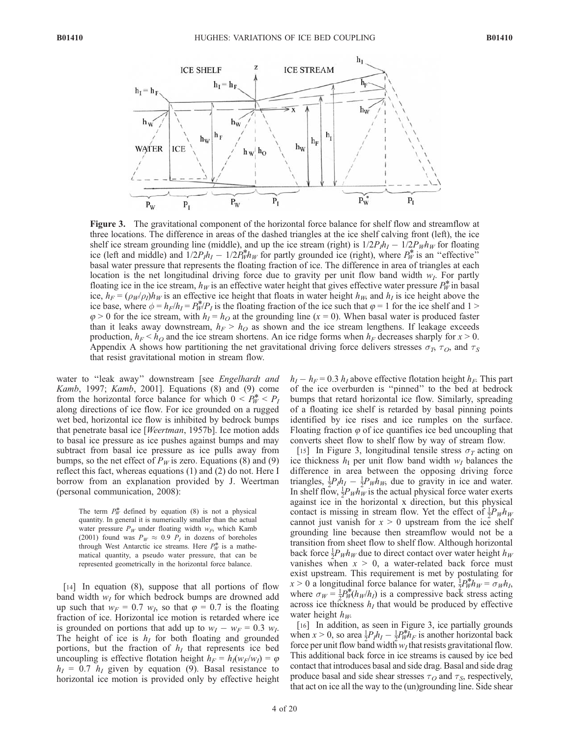

Figure 3. The gravitational component of the horizontal force balance for shelf flow and streamflow at three locations. The difference in areas of the dashed triangles at the ice shelf calving front (left), the ice shelf ice stream grounding line (middle), and up the ice stream (right) is  $1/2P_Ih_I - 1/2P_Wh_W$  for floating ice (left and middle) and  $1/2P_I h_I - 1/2P_W^* h_W$  for partly grounded ice (right), where  $P_W^*$  is an "effective" basal water pressure that represents the floating fraction of ice. The difference in area of triangles at each location is the net longitudinal driving force due to gravity per unit flow band width  $w_I$ . For partly floating ice in the ice stream,  $h_W$  is an effective water height that gives effective water pressure  $P_W^*$  in basal ice,  $h_F = (\rho_W/\rho_I)h_W$  is an effective ice height that floats in water height  $h_W$ , and  $h_I$  is ice height above the ice base, where  $\phi = h_F/h_I = P_W^*P_I$  is the floating fraction of the ice such that  $\varphi = 1$  for the ice shelf and  $1 >$  $\varphi > 0$  for the ice stream, with  $h_1 = h_0$  at the grounding line  $(x = 0)$ . When basal water is produced faster than it leaks away downstream,  $h_F > h_Q$  as shown and the ice stream lengthens. If leakage exceeds production,  $h_F < h_O$  and the ice stream shortens. An ice ridge forms when  $h_F$  decreases sharply for  $x > 0$ . Appendix A shows how partitioning the net gravitational driving force delivers stresses  $\sigma_T$ ,  $\tau_O$ , and  $\tau_S$ that resist gravitational motion in stream flow.

water to "leak away" downstream [see Engelhardt and Kamb, 1997; Kamb, 2001]. Equations (8) and (9) come from the horizontal force balance for which  $0 < P_W^* < P_I$ along directions of ice flow. For ice grounded on a rugged wet bed, horizontal ice flow is inhibited by bedrock bumps that penetrate basal ice [Weertman, 1957b]. Ice motion adds to basal ice pressure as ice pushes against bumps and may subtract from basal ice pressure as ice pulls away from bumps, so the net effect of  $P_W$  is zero. Equations (8) and (9) reflect this fact, whereas equations (1) and (2) do not. Here I borrow from an explanation provided by J. Weertman (personal communication, 2008):

The term  $P_W^*$  defined by equation (8) is not a physical quantity. In general it is numerically smaller than the actual water pressure  $P_W$  under floating width  $w_F$ , which Kamb (2001) found was  $P_W \approx 0.9$   $P_I$  in dozens of boreholes through West Antarctic ice streams. Here  $P_W^*$  is a mathematical quantity, a pseudo water pressure, that can be represented geometrically in the horizontal force balance.

[14] In equation (8), suppose that all portions of flow band width  $w<sub>I</sub>$  for which bedrock bumps are drowned add up such that  $w_F = 0.7$   $w_I$ , so that  $\varphi = 0.7$  is the floating fraction of ice. Horizontal ice motion is retarded where ice is grounded on portions that add up to  $w_I - w_F = 0.3$  w<sub>I</sub>. The height of ice is  $h_I$  for both floating and grounded portions, but the fraction of  $h_I$  that represents ice bed uncoupling is effective flotation height  $h_F = h_I(w_F/w_I) = \varphi$  $h_I = 0.7$   $h_I$  given by equation (9). Basal resistance to horizontal ice motion is provided only by effective height  $h_I - h_F = 0.3 h_I$  above effective flotation height  $h_F$ . This part of the ice overburden is ''pinned'' to the bed at bedrock bumps that retard horizontal ice flow. Similarly, spreading of a floating ice shelf is retarded by basal pinning points identified by ice rises and ice rumples on the surface. Floating fraction  $\varphi$  of ice quantifies ice bed uncoupling that converts sheet flow to shelf flow by way of stream flow.

[15] In Figure 3, longitudinal tensile stress  $\sigma_T$  acting on ice thickness  $h<sub>I</sub>$  per unit flow band width  $w<sub>I</sub>$  balances the difference in area between the opposing driving force triangles,  $\frac{1}{2}P_I h_I - \frac{1}{2}P_W h_W$ , due to gravity in ice and water. In shelf flow,  $\frac{1}{2}P_{W}h_{W}$  is the actual physical force water exerts against ice in the horizontal x direction, but this physical contact is missing in stream flow. Yet the effect of  $\frac{1}{2}P_{W}h_{W}$ cannot just vanish for  $x > 0$  upstream from the ice shelf grounding line because then streamflow would not be a transition from sheet flow to shelf flow. Although horizontal back force  $\frac{1}{2}P_{W}h_{W}$  due to direct contact over water height  $h_{W}$ vanishes when  $x > 0$ , a water-related back force must exist upstream. This requirement is met by postulating for  $x > 0$  a longitudinal force balance for water,  $\frac{1}{2} P_W^* h_W = \sigma_W h_L$ where  $\sigma_W = \frac{1}{2} P_W^*(h_W/h_I)$  is a compressive back stress acting across ice thickness  $h_I$  that would be produced by effective water height  $h_W$ .

[16] In addition, as seen in Figure 3, ice partially grounds when  $x > 0$ , so area  $\frac{1}{2}P_I h_I - \frac{1}{2}P_W^* h_F$  is another horizontal back force per unit flow band width  $w_I$  that resists gravitational flow. This additional back force in ice streams is caused by ice bed contact that introduces basal and side drag. Basal and side drag produce basal and side shear stresses  $\tau_O$  and  $\tau_S$ , respectively, that act on ice all the way to the (un)grounding line. Side shear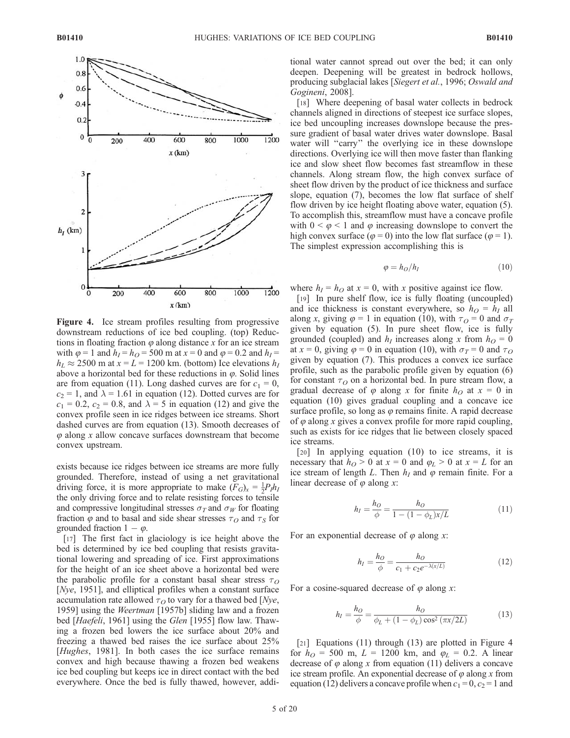

Figure 4. Ice stream profiles resulting from progressive downstream reductions of ice bed coupling. (top) Reductions in floating fraction  $\varphi$  along distance x for an ice stream with  $\varphi = 1$  and  $h_1 = h_0 = 500$  m at  $x = 0$  and  $\varphi = 0.2$  and  $h_1 =$  $h<sub>L</sub> \approx 2500$  m at  $x = L = 1200$  km. (bottom) Ice elevations  $h<sub>I</sub>$ above a horizontal bed for these reductions in  $\varphi$ . Solid lines are from equation (11). Long dashed curves are for  $c_1 = 0$ ,  $c_2 = 1$ , and  $\lambda = 1.61$  in equation (12). Dotted curves are for  $c_1 = 0.2$ ,  $c_2 = 0.8$ , and  $\lambda = 5$  in equation (12) and give the convex profile seen in ice ridges between ice streams. Short dashed curves are from equation (13). Smooth decreases of  $\varphi$  along x allow concave surfaces downstream that become convex upstream.

exists because ice ridges between ice streams are more fully grounded. Therefore, instead of using a net gravitational driving force, it is more appropriate to make  $(F_G)_x = \frac{1}{2}P_I h_I$ the only driving force and to relate resisting forces to tensile and compressive longitudinal stresses  $\sigma_T$  and  $\sigma_W$  for floating fraction  $\varphi$  and to basal and side shear stresses  $\tau$ <sub>O</sub> and  $\tau$ <sub>S</sub> for grounded fraction  $1 - \varphi$ .

[17] The first fact in glaciology is ice height above the bed is determined by ice bed coupling that resists gravitational lowering and spreading of ice. First approximations for the height of an ice sheet above a horizontal bed were the parabolic profile for a constant basal shear stress  $\tau<sub>O</sub>$ [*Nye*, 1951], and elliptical profiles when a constant surface accumulation rate allowed  $\tau_O$  to vary for a thawed bed [Nye, 1959] using the Weertman [1957b] sliding law and a frozen bed [Haefeli, 1961] using the Glen [1955] flow law. Thawing a frozen bed lowers the ice surface about 20% and freezing a thawed bed raises the ice surface about 25% [*Hughes*, 1981]. In both cases the ice surface remains convex and high because thawing a frozen bed weakens ice bed coupling but keeps ice in direct contact with the bed everywhere. Once the bed is fully thawed, however, additional water cannot spread out over the bed; it can only deepen. Deepening will be greatest in bedrock hollows, producing subglacial lakes [Siegert et al., 1996; Oswald and Gogineni, 2008].

[18] Where deepening of basal water collects in bedrock channels aligned in directions of steepest ice surface slopes, ice bed uncoupling increases downslope because the pressure gradient of basal water drives water downslope. Basal water will "carry" the overlying ice in these downslope directions. Overlying ice will then move faster than flanking ice and slow sheet flow becomes fast streamflow in these channels. Along stream flow, the high convex surface of sheet flow driven by the product of ice thickness and surface slope, equation (7), becomes the low flat surface of shelf flow driven by ice height floating above water, equation (5). To accomplish this, streamflow must have a concave profile with  $0 \leq \varphi \leq 1$  and  $\varphi$  increasing downslope to convert the high convex surface ( $\varphi = 0$ ) into the low flat surface ( $\varphi = 1$ ). The simplest expression accomplishing this is

$$
\varphi = h_O / h_I \tag{10}
$$

where  $h_I = h_O$  at  $x = 0$ , with x positive against ice flow.

[19] In pure shelf flow, ice is fully floating (uncoupled) and ice thickness is constant everywhere, so  $h<sub>O</sub> = h<sub>I</sub>$  all along x, giving  $\varphi = 1$  in equation (10), with  $\tau_Q = 0$  and  $\sigma_T$ given by equation (5). In pure sheet flow, ice is fully grounded (coupled) and  $h_l$  increases along x from  $h_{\Omega} = 0$ at  $x = 0$ , giving  $\varphi = 0$  in equation (10), with  $\sigma_T = 0$  and  $\tau_O$ given by equation (7). This produces a convex ice surface profile, such as the parabolic profile given by equation (6) for constant  $\tau$ <sup>O</sup> on a horizontal bed. In pure stream flow, a gradual decrease of  $\varphi$  along x for finite  $h<sub>O</sub>$  at  $x = 0$  in equation (10) gives gradual coupling and a concave ice surface profile, so long as  $\varphi$  remains finite. A rapid decrease of  $\varphi$  along x gives a convex profile for more rapid coupling, such as exists for ice ridges that lie between closely spaced ice streams.

[20] In applying equation (10) to ice streams, it is necessary that  $h<sub>O</sub> > 0$  at  $x = 0$  and  $\varphi_L > 0$  at  $x = L$  for an ice stream of length L. Then  $h_I$  and  $\varphi$  remain finite. For a linear decrease of  $\varphi$  along x:

$$
h_I = \frac{h_O}{\phi} = \frac{h_O}{1 - (1 - \phi_L)x/L} \tag{11}
$$

For an exponential decrease of  $\varphi$  along x:

$$
h_I = \frac{h_O}{\phi} = \frac{h_O}{c_1 + c_2 e^{-\lambda(x/L)}}\tag{12}
$$

For a cosine-squared decrease of  $\varphi$  along x:

$$
h_{I} = \frac{h_{O}}{\phi} = \frac{h_{O}}{\phi_{L} + (1 - \phi_{L})\cos^{2}(\pi x/2L)}
$$
(13)

[21] Equations (11) through (13) are plotted in Figure 4 for  $h_{O} = 500$  m,  $L = 1200$  km, and  $\varphi_{L} = 0.2$ . A linear decrease of  $\varphi$  along x from equation (11) delivers a concave ice stream profile. An exponential decrease of  $\varphi$  along x from equation (12) delivers a concave profile when  $c_1 = 0, c_2 = 1$  and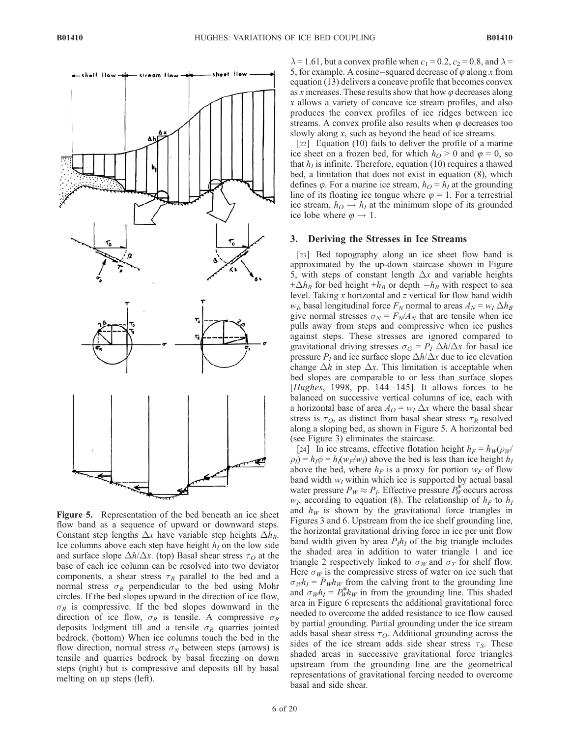

Figure 5. Representation of the bed beneath an ice sheet flow band as a sequence of upward or downward steps. Constant step lengths  $\Delta x$  have variable step heights  $\Delta h_B$ . Ice columns above each step have height  $h_1$  on the low side and surface slope  $\Delta h/\Delta x$ . (top) Basal shear stress  $\tau$ <sub>O</sub> at the base of each ice column can be resolved into two deviator components, a shear stress  $\tau_R$  parallel to the bed and a normal stress  $\sigma_R$  perpendicular to the bed using Mohr circles. If the bed slopes upward in the direction of ice flow,  $\sigma_R$  is compressive. If the bed slopes downward in the direction of ice flow,  $\sigma_R$  is tensile. A compressive  $\sigma_R$ deposits lodgment till and a tensile  $\sigma_R$  quarries jointed bedrock. (bottom) When ice columns touch the bed in the flow direction, normal stress  $\sigma_N$  between steps (arrows) is tensile and quarries bedrock by basal freezing on down steps (right) but is compressive and deposits till by basal melting on up steps (left).

 $\lambda$  = 1.61, but a convex profile when  $c_1$  = 0.2,  $c_2$  = 0.8, and  $\lambda$  = 5, for example. A cosine-squared decrease of  $\varphi$  along x from equation (13) delivers a concave profile that becomes convex as x increases. These results show that how  $\varphi$  decreases along x allows a variety of concave ice stream profiles, and also produces the convex profiles of ice ridges between ice streams. A convex profile also results when  $\varphi$  decreases too slowly along x, such as beyond the head of ice streams.

[22] Equation (10) fails to deliver the profile of a marine ice sheet on a frozen bed, for which  $h<sub>O</sub> > 0$  and  $\varphi = 0$ , so that  $h_I$  is infinite. Therefore, equation (10) requires a thawed bed, a limitation that does not exist in equation (8), which defines  $\varphi$ . For a marine ice stream,  $h_O = h_I$  at the grounding line of its floating ice tongue where  $\varphi = 1$ . For a terrestrial ice stream,  $h_O \rightarrow h_I$  at the minimum slope of its grounded ice lobe where  $\varphi \to 1$ .

#### 3. Deriving the Stresses in Ice Streams

[23] Bed topography along an ice sheet flow band is approximated by the up-down staircase shown in Figure 5, with steps of constant length  $\Delta x$  and variable heights  $\pm \Delta h_B$  for bed height  $+h_B$  or depth  $-h_B$  with respect to sea level. Taking  $x$  horizontal and  $z$  vertical for flow band width  $w_I$ , basal longitudinal force  $F_N$  normal to areas  $A_N = w_I \Delta h_B$ give normal stresses  $\sigma_N = F_N/A_N$  that are tensile when ice pulls away from steps and compressive when ice pushes against steps. These stresses are ignored compared to gravitational driving stresses  $\sigma_G = P_I \Delta h / \Delta x$  for basal ice pressure  $P_I$  and ice surface slope  $\Delta h / \Delta x$  due to ice elevation change  $\Delta h$  in step  $\Delta x$ . This limitation is acceptable when bed slopes are comparable to or less than surface slopes [ $Hughes$ , 1998, pp. 144–145]. It allows forces to be balanced on successive vertical columns of ice, each with a horizontal base of area  $A_O = w_I \Delta x$  where the basal shear stress is  $\tau_O$ , as distinct from basal shear stress  $\tau_R$  resolved along a sloping bed, as shown in Figure 5. A horizontal bed (see Figure 3) eliminates the staircase.

[24] In ice streams, effective flotation height  $h_F = h_W(\rho_W/\rho_W)$  $\rho_I$ ) =  $h_I \phi = h_I (w_F/w_I)$  above the bed is less than ice height  $h_I$ above the bed, where  $h_F$  is a proxy for portion  $w_F$  of flow band width  $w_I$  within which ice is supported by actual basal water pressure  $P_W \approx P_I$ . Effective pressure  $P_W^*$  occurs across  $w_I$ , according to equation (8). The relationship of  $h_F$  to  $h_I$ and  $h_W$  is shown by the gravitational force triangles in Figures 3 and 6. Upstream from the ice shelf grounding line, the horizontal gravitational driving force in ice per unit flow band width given by area  $\bar{P}_{I}h_{I}$  of the big triangle includes the shaded area in addition to water triangle 1 and ice triangle 2 respectively linked to  $\sigma_W$  and  $\sigma_T$  for shelf flow. Here  $\sigma_W$  is the compressive stress of water on ice such that  $\sigma_W h_I = \overline{P}_W h_W$  from the calving front to the grounding line and  $\sigma_W h_I = P_W^* h_W$  in from the grounding line. This shaded area in Figure 6 represents the additional gravitational force needed to overcome the added resistance to ice flow caused by partial grounding. Partial grounding under the ice stream adds basal shear stress  $\tau_O$ . Additional grounding across the sides of the ice stream adds side shear stress  $\tau_s$ . These shaded areas in successive gravitational force triangles upstream from the grounding line are the geometrical representations of gravitational forcing needed to overcome basal and side shear.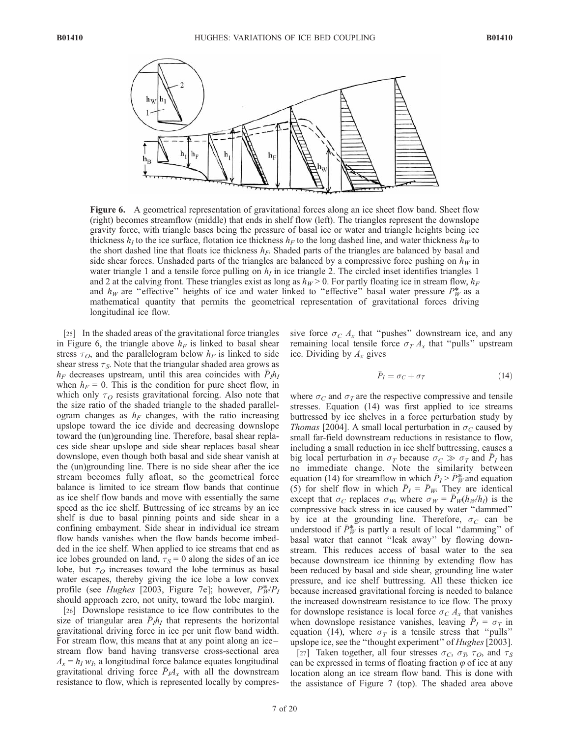

Figure 6. A geometrical representation of gravitational forces along an ice sheet flow band. Sheet flow (right) becomes streamflow (middle) that ends in shelf flow (left). The triangles represent the downslope gravity force, with triangle bases being the pressure of basal ice or water and triangle heights being ice thickness  $h_I$  to the ice surface, flotation ice thickness  $h_F$  to the long dashed line, and water thickness  $h_W$  to the short dashed line that floats ice thickness  $h_F$ . Shaded parts of the triangles are balanced by basal and side shear forces. Unshaded parts of the triangles are balanced by a compressive force pushing on  $h_W$  in water triangle 1 and a tensile force pulling on  $h_I$  in ice triangle 2. The circled inset identifies triangles 1 and 2 at the calving front. These triangles exist as long as  $h_W > 0$ . For partly floating ice in stream flow,  $h_F$ and  $h_W$  are "effective" heights of ice and water linked to "effective" basal water pressure  $P_W^*$  as a mathematical quantity that permits the geometrical representation of gravitational forces driving longitudinal ice flow.

[25] In the shaded areas of the gravitational force triangles in Figure 6, the triangle above  $h_F$  is linked to basal shear stress  $\tau_O$ , and the parallelogram below  $h_F$  is linked to side shear stress  $\tau_s$ . Note that the triangular shaded area grows as  $h_F$  decreases upstream, until this area coincides with  $\bar{P}_I h_I$ when  $h_F = 0$ . This is the condition for pure sheet flow, in which only  $\tau<sub>O</sub>$  resists gravitational forcing. Also note that the size ratio of the shaded triangle to the shaded parallelogram changes as  $h_F$  changes, with the ratio increasing upslope toward the ice divide and decreasing downslope toward the (un)grounding line. Therefore, basal shear replaces side shear upslope and side shear replaces basal shear downslope, even though both basal and side shear vanish at the (un)grounding line. There is no side shear after the ice stream becomes fully afloat, so the geometrical force balance is limited to ice stream flow bands that continue as ice shelf flow bands and move with essentially the same speed as the ice shelf. Buttressing of ice streams by an ice shelf is due to basal pinning points and side shear in a confining embayment. Side shear in individual ice stream flow bands vanishes when the flow bands become imbedded in the ice shelf. When applied to ice streams that end as ice lobes grounded on land,  $\tau_s = 0$  along the sides of an ice lobe, but  $\tau<sub>O</sub>$  increases toward the lobe terminus as basal water escapes, thereby giving the ice lobe a low convex profile (see *Hughes* [2003, Figure 7e]; however,  $P^*_{W}/P_I$ should approach zero, not unity, toward the lobe margin).

[26] Downslope resistance to ice flow contributes to the size of triangular area  $\bar{P}_I h_I$  that represents the horizontal gravitational driving force in ice per unit flow band width. For stream flow, this means that at any point along an ice – stream flow band having transverse cross-sectional area  $A_x = h_I w_I$ , a longitudinal force balance equates longitudinal gravitational driving force  $\bar{P}_I A_x$  with all the downstream resistance to flow, which is represented locally by compressive force  $\sigma_C A_x$  that "pushes" downstream ice, and any remaining local tensile force  $\sigma_T A_x$  that "pulls" upstream ice. Dividing by  $A_x$  gives

$$
\bar{P}_I = \sigma_C + \sigma_T \tag{14}
$$

where  $\sigma_C$  and  $\sigma_T$  are the respective compressive and tensile stresses. Equation (14) was first applied to ice streams buttressed by ice shelves in a force perturbation study by *Thomas* [2004]. A small local perturbation in  $\sigma_C$  caused by small far-field downstream reductions in resistance to flow, including a small reduction in ice shelf buttressing, causes a big local perturbation in  $\sigma_T$  because  $\sigma_C \gg \sigma_T$  and  $\bar{P}_I$  has no immediate change. Note the similarity between equation (14) for streamflow in which  $\bar{P}_I > \bar{P}_W^*$  and equation (5) for shelf flow in which  $\bar{P}_I = \bar{P}_W$ . They are identical except that  $\sigma_C$  replaces  $\sigma_W$ , where  $\sigma_W = \overline{P}_W(h_W/h_I)$  is the compressive back stress in ice caused by water ''dammed'' by ice at the grounding line. Therefore,  $\sigma_C$  can be understood if  $\bar{P}_W^*$  is partly a result of local "damming" of basal water that cannot ''leak away'' by flowing downstream. This reduces access of basal water to the sea because downstream ice thinning by extending flow has been reduced by basal and side shear, grounding line water pressure, and ice shelf buttressing. All these thicken ice because increased gravitational forcing is needed to balance the increased downstream resistance to ice flow. The proxy for downslope resistance is local force  $\sigma_C A_x$  that vanishes when downslope resistance vanishes, leaving  $\bar{P}_I = \sigma_T$  in equation (14), where  $\sigma_T$  is a tensile stress that "pulls" upslope ice, see the "thought experiment" of *Hughes* [2003].

[27] Taken together, all four stresses  $\sigma_C$ ,  $\sigma_T$ ,  $\tau_O$ , and  $\tau_S$ can be expressed in terms of floating fraction  $\varphi$  of ice at any location along an ice stream flow band. This is done with the assistance of Figure 7 (top). The shaded area above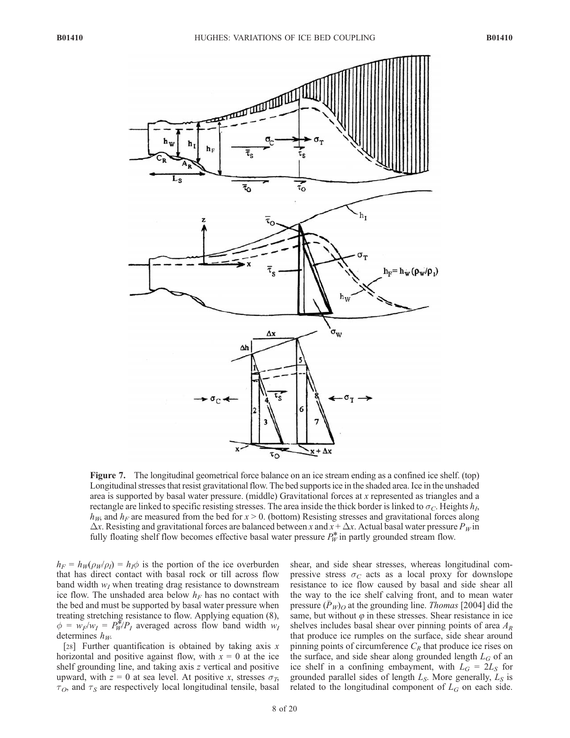

Figure 7. The longitudinal geometrical force balance on an ice stream ending as a confined ice shelf. (top) Longitudinal stresses that resist gravitational flow. The bed supports ice in the shaded area. Ice in the unshaded area is supported by basal water pressure. (middle) Gravitational forces at x represented as triangles and a rectangle are linked to specific resisting stresses. The area inside the thick border is linked to  $\sigma_C$ . Heights  $h_L$  $h_{W}$ , and  $h_{F}$  are measured from the bed for  $x > 0$ . (bottom) Resisting stresses and gravitational forces along  $\Delta x$ . Resisting and gravitational forces are balanced between x and  $x + \Delta x$ . Actual basal water pressure  $P_W$  in fully floating shelf flow becomes effective basal water pressure  $P_W^*$  in partly grounded stream flow.

 $h_F = h_W(\rho_W/\rho_I) = h_I \phi$  is the portion of the ice overburden that has direct contact with basal rock or till across flow band width  $w_I$  when treating drag resistance to downstream ice flow. The unshaded area below  $h_F$  has no contact with the bed and must be supported by basal water pressure when treating stretching resistance to flow. Applying equation (8),  $\phi = w_F/w_I = P_W^* / P_I$  averaged across flow band width  $w_I$ determines  $h_W$ .

[28] Further quantification is obtained by taking axis  $x$ horizontal and positive against flow, with  $x = 0$  at the ice shelf grounding line, and taking axis z vertical and positive upward, with  $z = 0$  at sea level. At positive x, stresses  $\sigma_T$ ,  $\tau_O$ , and  $\tau_S$  are respectively local longitudinal tensile, basal shear, and side shear stresses, whereas longitudinal compressive stress  $\sigma_C$  acts as a local proxy for downslope resistance to ice flow caused by basal and side shear all the way to the ice shelf calving front, and to mean water pressure  $(\bar{P}_W)_{\scriptstyle\text{O}}$  at the grounding line. Thomas [2004] did the same, but without  $\varphi$  in these stresses. Shear resistance in ice shelves includes basal shear over pinning points of area  $A_R$ that produce ice rumples on the surface, side shear around pinning points of circumference  $C_R$  that produce ice rises on the surface, and side shear along grounded length  $L_G$  of an ice shelf in a confining embayment, with  $L_G = 2L_S$  for grounded parallel sides of length  $L_S$ . More generally,  $L_S$  is related to the longitudinal component of  $L_G$  on each side.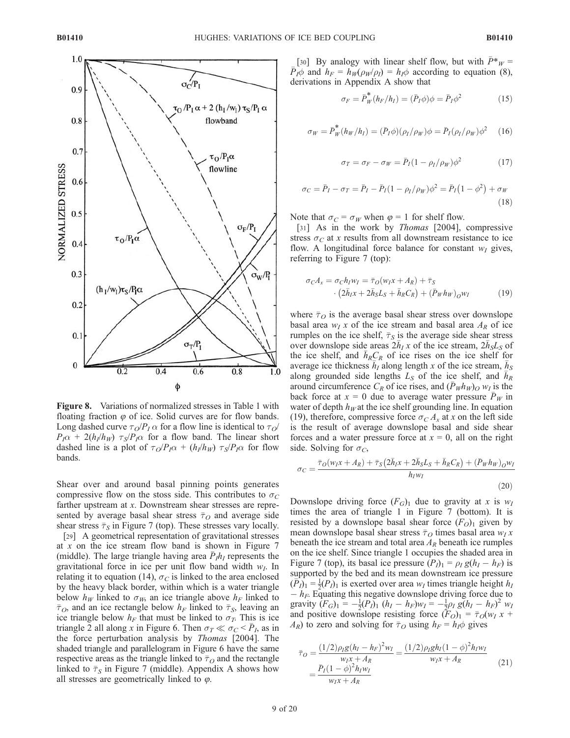

Figure 8. Variations of normalized stresses in Table 1 with floating fraction  $\varphi$  of ice. Solid curves are for flow bands. Long dashed curve  $\tau_O/P_I \alpha$  for a flow line is identical to  $\tau_O$  $P_I\alpha$  + 2(h<sub>I</sub>/h<sub>W</sub>)  $\tau_S/P_I\alpha$  for a flow band. The linear short dashed line is a plot of  $\tau_O/P_I\alpha$  +  $(h_I/h_W)$   $\tau_S/P_I\alpha$  for flow bands.

Shear over and around basal pinning points generates compressive flow on the stoss side. This contributes to  $\sigma_C$ farther upstream at x. Downstream shear stresses are represented by average basal shear stress  $\bar{\tau}_O$  and average side shear stress  $\bar{\tau}_S$  in Figure 7 (top). These stresses vary locally.

[29] A geometrical representation of gravitational stresses at x on the ice stream flow band is shown in Figure 7 (middle). The large triangle having area  $\bar{P}_{I}h_{I}$  represents the gravitational force in ice per unit flow band width  $w_I$ . In relating it to equation (14),  $\sigma_C$  is linked to the area enclosed by the heavy black border, within which is a water triangle below  $h_W$  linked to  $\sigma_W$ , an ice triangle above  $h_F$  linked to  $\bar{\tau}_O$ , and an ice rectangle below  $h_F$  linked to  $\bar{\tau}_S$ , leaving an ice triangle below  $h_F$  that must be linked to  $\sigma_T$ . This is ice triangle 2 all along x in Figure 6. Then  $\sigma_T \ll \sigma_C < \bar{P}_I$ , as in the force perturbation analysis by Thomas [2004]. The shaded triangle and parallelogram in Figure 6 have the same respective areas as the triangle linked to  $\bar{\tau}_O$  and the rectangle linked to  $\bar{\tau}_S$  in Figure 7 (middle). Appendix A shows how all stresses are geometrically linked to  $\varphi$ .

[30] By analogy with linear shelf flow, but with  $\bar{P}^*_{W} =$  $\overline{P}_I \phi$  and  $h_F = h_W(\rho_W/\rho_I) = h_I \phi$  according to equation (8), derivations in Appendix A show that

$$
\sigma_F = \bar{P}_W^*(h_F/h_I) = (\bar{P}_I \phi)\phi = \bar{P}_I \phi^2 \tag{15}
$$

$$
\sigma_W = \bar{P}_W^* (h_W / h_I) = (\bar{P}_I \phi)(\rho_I / \rho_W) \phi = \bar{P}_I (\rho_I / \rho_W) \phi^2 \quad (16)
$$

$$
\sigma_T = \sigma_F - \sigma_W = \bar{P}_I (1 - \rho_I / \rho_W) \phi^2 \tag{17}
$$

$$
\sigma_C = \bar{P}_I - \sigma_T = \bar{P}_I - \bar{P}_I (1 - \rho_I / \rho_W) \phi^2 = \bar{P}_I (1 - \phi^2) + \sigma_W
$$
\n(18)

Note that  $\sigma_C = \sigma_W$  when  $\varphi = 1$  for shelf flow.

[31] As in the work by *Thomas* [2004], compressive stress  $\sigma_C$  at x results from all downstream resistance to ice flow. A longitudinal force balance for constant  $w_I$  gives, referring to Figure 7 (top):

$$
\sigma_C A_x = \sigma_C h_I w_I = \overline{\tau}_O(w_I x + A_R) + \overline{\tau}_S
$$
  
. 
$$
(2\overline{h}_I x + 2\overline{h}_S L_S + \overline{h}_R C_R) + (\overline{P}_W h_W)_{OW_I}
$$
 (19)

where  $\bar{\tau}_O$  is the average basal shear stress over downslope basal area  $w_I x$  of the ice stream and basal area  $A_R$  of ice rumples on the ice shelf,  $\bar{\tau}_s$  is the average side shear stress over downslope side areas  $2\bar{h}_I x$  of the ice stream,  $2\bar{h}_S L_S$  of the ice shelf, and  $\bar{h}_R C_R$  of ice rises on the ice shelf for average ice thickness  $\overline{h}_I$  along length x of the ice stream,  $\overline{h}_S$ along grounded side lengths  $L_S$  of the ice shelf, and  $\overline{h}_R^S$ around circumference  $C_R$  of ice rises, and  $(\bar{P}_W h_W)_O w_I$  is the back force at  $x = 0$  due to average water pressure  $\overline{P}_W$  in water of depth  $h_W$  at the ice shelf grounding line. In equation (19), therefore, compressive force  $\sigma_C A_x$  at x on the left side is the result of average downslope basal and side shear forces and a water pressure force at  $x = 0$ , all on the right side. Solving for  $\sigma_C$ ,

$$
\sigma_C = \frac{\bar{\tau}_O(w_I x + A_R) + \bar{\tau}_S (2\bar{h}_I x + 2\bar{h}_S L_S + \bar{h}_R C_R) + (\bar{P}_W h_W)_{O} w_I}{h_I w_I}
$$
\n(20)

Downslope driving force  $(F_G)_1$  due to gravity at x is  $w_I$ times the area of triangle 1 in Figure 7 (bottom). It is resisted by a downslope basal shear force  $(F<sub>O</sub>)<sub>1</sub>$  given by mean downslope basal shear stress  $\bar{\tau}_O$  times basal area  $w_I x$ beneath the ice stream and total area  $A_R$  beneath ice rumples on the ice shelf. Since triangle 1 occupies the shaded area in Figure 7 (top), its basal ice pressure  $(P<sub>I</sub>)<sub>1</sub> = \rho<sub>I</sub> g(h<sub>I</sub> - h<sub>F</sub>)$  is supported by the bed and its mean downstream ice pressure  $(\overrightarrow{P}_l)_1 = \frac{1}{2}(P_l)_1$  is exerted over area  $w_l$  times triangle height  $h_l$  $-h_F$ . Equating this negative downslope driving force due to gravity  $(F_G)_1 = -\frac{1}{2}(P_I)_1 (h_I - h_F)w_I = -\frac{1}{2}\rho_I g(h_I - h_F)^2 w_I$ and positive downslope resisting force  $(F_O)_1 = \bar{\tau}_O(w_I x +$  $A_R$ ) to zero and solving for  $\bar{\tau}_O$  using  $h_F = h_I \phi$  gives

$$
\bar{\tau}_O = \frac{(1/2)\rho_I g (h_I - h_F)^2 w_I}{w_I x + A_R} = \frac{(1/2)\rho_I g h_I (1 - \phi)^2 h_I w_I}{w_I x + A_R}
$$
\n
$$
= \frac{\bar{P}_I (1 - \phi)^2 h_I w_I}{w_I x + A_R}
$$
\n(21)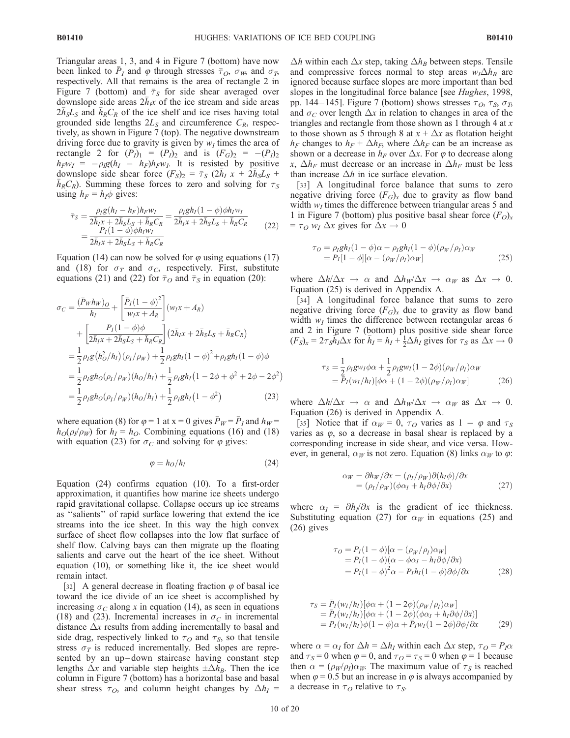Triangular areas 1, 3, and 4 in Figure 7 (bottom) have now been linked to  $\bar{P}_I$  and  $\varphi$  through stresses  $\bar{\tau}_O$ ,  $\sigma_W$ , and  $\sigma_T$ , respectively. All that remains is the area of rectangle 2 in Figure 7 (bottom) and  $\bar{\tau}_S$  for side shear averaged over downslope side areas  $2\bar{h}_{1}$  of the ice stream and side areas  $2\bar{h}_s L_s$  and  $\bar{h}_R C_R$  of the ice shelf and ice rises having total grounded side lengths  $2L<sub>S</sub>$  and circumference  $C<sub>R</sub>$ , respectively, as shown in Figure 7 (top). The negative downstream driving force due to gravity is given by  $w_I$  times the area of rectangle 2 for  $(P_1)_1 = (P_1)_2$  and is  $(F_G)_2 = -(P_1)_2$  $h_F w_I = -\rho_I g(h_I - h_F)h_F w_I$ . It is resisted by positive downslope side shear force  $(F_S)_2 = \overline{\tau}_S (2\overline{h}_I x + 2\overline{h}_S L_S + \overline{h}_S C_S)$ . Summing these forces to zero and solving for  $\tau_S$  $h_R C_R$ ). Summing these forces to zero and solving for  $\tau_S$ using  $h_F = h_I \phi$  gives:

$$
\bar{\tau}_S = \frac{\rho_I g (h_I - h_F) h_F w_I}{2\bar{h}_I x + 2\bar{h}_S L_S + \bar{h}_R C_R} = \frac{\rho_I g h_I (1 - \phi) \phi h_I w_I}{2\bar{h}_I x + 2\bar{h}_S L_S + \bar{h}_R C_R} = \frac{P_I (1 - \phi) \phi h_I w_I}{2\bar{h}_I x + 2\bar{h}_S L_S + \bar{h}_R C_R}
$$
\n(22)

Equation (14) can now be solved for  $\varphi$  using equations (17) and (18) for  $\sigma_T$  and  $\sigma_C$ , respectively. First, substitute equations (21) and (22) for  $\bar{\tau}_O$  and  $\bar{\tau}_S$  in equation (20):

$$
\sigma_C = \frac{(\bar{P}_W h_W)_O}{h_I} + \left[\frac{\bar{P}_I (1 - \phi)^2}{w_I x + A_R}\right](w_I x + A_R)
$$
  
+ 
$$
\left[\frac{P_I (1 - \phi)\phi}{2\bar{h}_I x + 2\bar{h}_S L_S + \bar{h}_R C_R}\right] (2\bar{h}_I x + 2\bar{h}_S L_S + \bar{h}_R C_R)
$$
  
= 
$$
\frac{1}{2} \rho_I g (h_O^2/h_I) (\rho_I/\rho_W) + \frac{1}{2} \rho_I g h_I (1 - \phi)^2 + \rho_I g h_I (1 - \phi)\phi
$$
  
= 
$$
\frac{1}{2} \rho_I g h_O (\rho_I/\rho_W) (h_O/h_I) + \frac{1}{2} \rho_I g h_I (1 - 2\phi + \phi^2 + 2\phi - 2\phi^2)
$$
  
= 
$$
\frac{1}{2} \rho_I g h_O (\rho_I/\rho_W) (h_O/h_I) + \frac{1}{2} \rho_I g h_I (1 - \phi^2)
$$
(23)

where equation (8) for  $\varphi = 1$  at  $x = 0$  gives  $\bar{P}_W = \bar{P}_I$  and  $h_W =$  $h_O(\rho_I/\rho_W)$  for  $h_I = h_O$ . Combining equations (16) and (18) with equation (23) for  $\sigma_C$  and solving for  $\varphi$  gives:

$$
\varphi = h_O / h_I \tag{24}
$$

Equation (24) confirms equation (10). To a first-order approximation, it quantifies how marine ice sheets undergo rapid gravitational collapse. Collapse occurs up ice streams as ''salients'' of rapid surface lowering that extend the ice streams into the ice sheet. In this way the high convex surface of sheet flow collapses into the low flat surface of shelf flow. Calving bays can then migrate up the floating salients and carve out the heart of the ice sheet. Without equation (10), or something like it, the ice sheet would remain intact.

[32] A general decrease in floating fraction  $\varphi$  of basal ice toward the ice divide of an ice sheet is accomplished by increasing  $\sigma_C$  along x in equation (14), as seen in equations (18) and (23). Incremental increases in  $\sigma_C$  in incremental distance  $\Delta x$  results from adding incrementally to basal and side drag, respectively linked to  $\tau<sub>O</sub>$  and  $\tau<sub>S</sub>$ , so that tensile stress  $\sigma_T$  is reduced incrementally. Bed slopes are represented by an up-down staircase having constant step lengths  $\Delta x$  and variable step heights  $\pm \Delta h_B$ . Then the ice column in Figure 7 (bottom) has a horizontal base and basal shear stress  $\tau_O$ , and column height changes by  $\Delta h_I$  =

 $\Delta h$  within each  $\Delta x$  step, taking  $\Delta h_B$  between steps. Tensile and compressive forces normal to step areas  $w_I \Delta h_B$  are ignored because surface slopes are more important than bed slopes in the longitudinal force balance [see Hughes, 1998, pp. 144–145]. Figure 7 (bottom) shows stresses  $\tau_O$ ,  $\tau_S$ ,  $\sigma_T$ , and  $\sigma_C$  over length  $\Delta x$  in relation to changes in area of the triangles and rectangle from those shown as 1 through 4 at  $x$ to those shown as 5 through 8 at  $x + \Delta x$  as flotation height  $h_F$  changes to  $h_F + \Delta h_F$ , where  $\Delta h_F$  can be an increase as shown or a decrease in  $h_F$  over  $\Delta x$ . For  $\varphi$  to decrease along x,  $\Delta h_F$  must decrease or an increase in  $\Delta h_F$  must be less than increase  $\Delta h$  in ice surface elevation.

[33] A longitudinal force balance that sums to zero negative driving force  $(F_G)_x$  due to gravity as flow band width  $w_I$  times the difference between triangular areas 5 and 1 in Figure 7 (bottom) plus positive basal shear force  $(F<sub>O</sub>)<sub>x</sub>$  $= \tau_O w_I \Delta x$  gives for  $\Delta x \rightarrow 0$ 

$$
\tau_O = \rho_I g h_I (1 - \phi) \alpha - \rho_I g h_I (1 - \phi) (\rho_W / \rho_I) \alpha_W = P_I [1 - \phi] [\alpha - (\rho_W / \rho_I) \alpha_W]
$$
(25)

where  $\Delta h/\Delta x \rightarrow \alpha$  and  $\Delta h_W/\Delta x \rightarrow \alpha_W$  as  $\Delta x \rightarrow 0$ . Equation (25) is derived in Appendix A.

[34] A longitudinal force balance that sums to zero negative driving force  $(F_G)_x$  due to gravity as flow band width  $w_I$  times the difference between rectangular areas 6 and 2 in Figure 7 (bottom) plus positive side shear force  $(F_S)_x = 2\tau \overline{\tilde{sh}_I} \Delta x$  for  $\overline{h}_I = h_I + \frac{1}{2} \Delta h_I$  gives for  $\tau_S$  as  $\Delta x \to 0$ 

$$
\tau_S = \frac{1}{2} \rho_I g w_I \phi \alpha + \frac{1}{2} \rho_I g w_I (1 - 2\phi) (\rho_W / \rho_I) \alpha_W
$$
  
=  $\overline{P}_I (w_I / h_I) [\phi \alpha + (1 - 2\phi) (\rho_W / \rho_I) \alpha_W]$  (26)

where  $\Delta h/\Delta x \rightarrow \alpha$  and  $\Delta h_W/\Delta x \rightarrow \alpha_W$  as  $\Delta x \rightarrow 0$ . Equation (26) is derived in Appendix A.

[35] Notice that if  $\alpha_W = 0$ ,  $\tau_O$  varies as  $1 - \varphi$  and  $\tau_S$ varies as  $\varphi$ , so a decrease in basal shear is replaced by a corresponding increase in side shear, and vice versa. However, in general,  $\alpha_W$  is not zero. Equation (8) links  $\alpha_W$  to  $\varphi$ :

$$
\alpha_W = \partial h_W / \partial x = (\rho_I / \rho_W) \partial (h_I \phi) / \partial x = (\rho_I / \rho_W) (\phi \alpha_I + h_I \partial \phi / \partial x)
$$
 (27)

where  $\alpha_I = \partial h_I / \partial x$  is the gradient of ice thickness. Substituting equation (27) for  $\alpha_W$  in equations (25) and (26) gives

$$
\tau_O = P_I(1 - \phi)[\alpha - (\rho_W/\rho_I)\alpha_W] \n= P_I(1 - \phi)(\alpha - \phi\alpha_I - h_I\partial\phi/\partial x) \n= P_I(1 - \phi)^2 \alpha - P_I h_I(1 - \phi)\partial\phi/\partial x
$$
\n(28)

$$
\tau_S = \bar{P}_I(w_I/h_I)[\phi\alpha + (1 - 2\phi)(\rho_W/\rho_I)\alpha_W] \n= \bar{P}_I(w_I/h_I)[\phi\alpha + (1 - 2\phi)(\phi\alpha_I + h_I\partial\phi/\partial x)] \n= P_I(w_I/h_I)\phi(1 - \phi)\alpha + \bar{P}_Iw_I(1 - 2\phi)\partial\phi/\partial x
$$
\n(29)

where  $\alpha = \alpha_I$  for  $\Delta h = \Delta h_I$  within each  $\Delta x$  step,  $\tau_O = P_I \alpha$ and  $\tau_s = 0$  when  $\varphi = 0$ , and  $\tau_o = \tau_s = 0$  when  $\varphi = 1$  because then  $\alpha = (\rho_W/\rho_I)\alpha_W$ . The maximum value of  $\tau_S$  is reached when  $\varphi$  = 0.5 but an increase in  $\varphi$  is always accompanied by a decrease in  $\tau_O$  relative to  $\tau_S$ .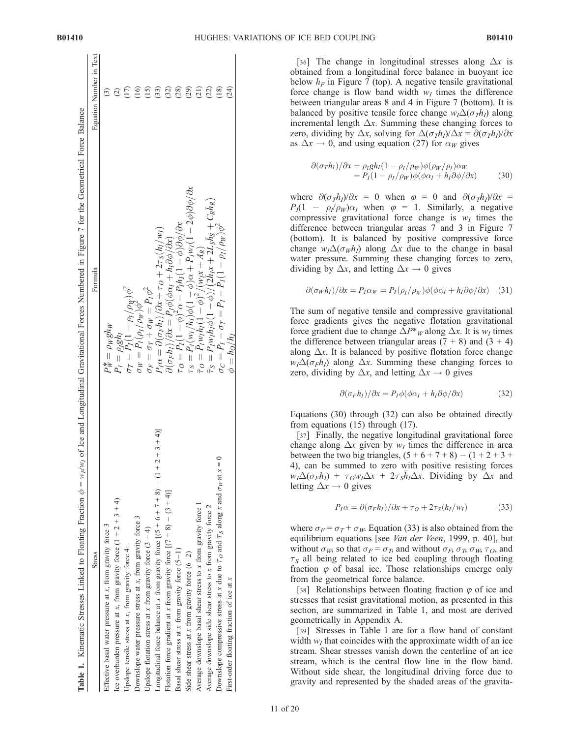| <b>B01410</b> | HUGHES: VARIATIONS OF ICE BED COUPLING |  |  |
|---------------|----------------------------------------|--|--|
|               |                                        |  |  |

| <b>Stress</b>                                                                                                               | Formula                                                                                                                                                                                                                                                    | Equation Number in Text           |
|-----------------------------------------------------------------------------------------------------------------------------|------------------------------------------------------------------------------------------------------------------------------------------------------------------------------------------------------------------------------------------------------------|-----------------------------------|
| Effective basal water pressure at x, from gravity force 3                                                                   | $P^*_W = \rho_W g h_W$                                                                                                                                                                                                                                     | ⊙                                 |
| Lee overburden pressure at x, from gravity force $(1 + 2 + 3 + 4)$                                                          | $P_I = \rho_I g h_I$                                                                                                                                                                                                                                       |                                   |
| Upslope tensile stress at x, from gravity force 4:                                                                          |                                                                                                                                                                                                                                                            |                                   |
| Downslope water pressure stress at x, from gravity force 3                                                                  | $\begin{array}{l} \sigma_T = P_I (1-\rho_I/\rho_W) \phi^2 \ \sigma_W = P_I (\rho_I/\rho_W) \phi_-^2 \end{array}$                                                                                                                                           |                                   |
| Upslope flotation stress at x from gravity force $(3 + 4)$                                                                  | $\sigma_F = \sigma_T + \sigma_W = P_I \phi^2$                                                                                                                                                                                                              |                                   |
| $+2+3+4$<br>Longitudinal force balance at x from gravity force $[(5 + 6 + 7 + 8) - (1)$                                     |                                                                                                                                                                                                                                                            | $E \nbrace E \nbrace E \nbrace E$ |
| Flotation force gradient at x from gravity force $[(7 + 8) - (3 + 4)]$                                                      |                                                                                                                                                                                                                                                            |                                   |
| Basal shear stress at $x$ from gravity force $(5 - 1)$                                                                      | $\begin{array}{l} P_I\alpha=\partial(\sigma_F h_I)/\partial x+\tau_O+2\tau_S(h_I/w_I)\\ \partial(\sigma_F h_I)/\partial x=P_I\phi(\phi\alpha_I+h_I\partial\phi/\partial x)\\ \tau_O=P_I(1-\phi)^2\alpha-P_Ih_I(1-\phi)\partial\phi/\partial x \end{array}$ | (389)                             |
| Side shear stress at x from gravity force $(6-2)$                                                                           |                                                                                                                                                                                                                                                            |                                   |
| Average downslope basal shear stress to x from gravity force 1                                                              | $\tau_S = P_I(w_I/h_I) \phi(1-\phi) \alpha + \bar{P}_I w_I (1-2\phi) \partial \phi / \partial x$<br>$\bar{\tau}_O = \bar{P}_I w_I h_I (1-\phi)^2 / (w_I x + A_R)$                                                                                          |                                   |
| Average downslope side shear stress to $x$ from gravity force $2$                                                           |                                                                                                                                                                                                                                                            | (22)                              |
| $\frac{1}{1}$<br>Downslope compressive stress at x due to $\overline{T}_0$ and $\overline{T}_s$ along x and $\sigma_W$ at x | $\begin{array}{l} \bar{\tau}_S = P_I w_I h_I \phi (1-\phi)/(2\bar{h}_I x + 2 L_S \bar{h}_S + C_R \bar{h}_R) \ \sigma_C = \bar{P}_I - \sigma_T = \bar{P}_I - P_I (1-\rho_I/\rho_W) \phi^2 \end{array}$                                                      | $\left(\frac{8}{18}\right)$       |
| First-order floating fraction of ice at x                                                                                   | $\phi = h_O/h_I$                                                                                                                                                                                                                                           | (24)                              |

[36] The change in longitudinal stresses along  $\Delta x$  is obtained from a longitudinal force balance in buoyant ice below  $h_F$  in Figure 7 (top). A negative tensile gravitational force change is flow band width  $w_I$  times the difference between triangular areas 8 and 4 in Figure 7 (bottom). It is balanced by positive tensile force change  $w_1\Delta(\sigma_7h_1)$  along incremental length  $\Delta x$ . Summing these changing forces to zero, dividing by  $\Delta x$ , solving for  $\Delta(\sigma_T h_I)/\Delta x = \partial(\sigma_T h_I)/\partial x$ as  $\Delta x \rightarrow 0$ , and using equation (27) for  $\alpha_W$  gives

$$
\partial(\sigma_T h_I)/\partial x = \rho_I g h_I (1 - \rho_I/\rho_W) \phi(\rho_W/\rho_I) \alpha_W \n= P_I (1 - \rho_I/\rho_W) \phi(\phi \alpha_I + h_I \partial \phi/\partial x)
$$
\n(30)

where  $\partial(\sigma_T h_I)/\partial x = 0$  when  $\varphi = 0$  and  $\partial(\sigma_T h_I)/\partial x =$  $P_1(1 - \rho_1/\rho_W)\alpha_I$  when  $\varphi = 1$ . Similarly, a negative compressive gravitational force change is  $w_I$  times the difference between triangular areas 7 and 3 in Figure 7 (bottom). It is balanced by positive compressive force change  $w_I \Delta(\sigma_W h_I)$  along  $\Delta x$  due to the change in basal water pressure. Summing these changing forces to zero, dividing by  $\Delta x$ , and letting  $\Delta x \rightarrow 0$  gives

$$
\partial(\sigma_W h_I)/\partial x = P_I \alpha_W = P_I(\rho_I/\rho_W)\phi(\phi \alpha_I + h_I \partial \phi/\partial x) \quad (31)
$$

The sum of negative tensile and compressive gravitational force gradients gives the negative flotation gravitational force gradient due to change  $\Delta P^*$ <sub>W</sub> along  $\Delta x$ . It is  $w_I$  times the difference between triangular areas  $(7 + 8)$  and  $(3 + 4)$ along  $\Delta x$ . It is balanced by positive flotation force change  $w_1\Delta(\sigma_F h_1)$  along  $\Delta x$ . Summing these changing forces to zero, dividing by  $\Delta x$ , and letting  $\Delta x \rightarrow 0$  gives

$$
\partial(\sigma_F h_I)/\partial x = P_I \phi(\phi \alpha_I + h_I \partial \phi/\partial x) \tag{32}
$$

Equations (30) through (32) can also be obtained directly from equations (15) through (17).

[37] Finally, the negative longitudinal gravitational force change along  $\Delta x$  given by  $w_I$  times the difference in area between the two big triangles,  $(5 + 6 + 7 + 8) - (1 + 2 + 3 +$ 4), can be summed to zero with positive resisting forces  $w_I \Delta(\sigma_F h_I) + \tau_O w_I \Delta x + 2\tau_S \bar{h}_I \Delta x$ . Dividing by  $\Delta x$  and letting  $\Delta x \rightarrow 0$  gives

$$
P_I \alpha = \partial(\sigma_F h_I) / \partial x + \tau_O + 2\tau_S (h_I / w_I)
$$
 (33)

where  $\sigma_F = \sigma_T + \sigma_W$ . Equation (33) is also obtained from the equilibrium equations [see Van der Veen, 1999, p. 40], but without  $\sigma_W$ , so that  $\sigma_F = \sigma_T$ , and without  $\sigma_F$ ,  $\sigma_T$ ,  $\sigma_W$ ,  $\tau_O$ , and  $\tau<sub>S</sub>$  all being related to ice bed coupling through floating fraction  $\varphi$  of basal ice. Those relationships emerge only from the geometrical force balance.

[38] Relationships between floating fraction  $\varphi$  of ice and stresses that resist gravitational motion, as presented in this section, are summarized in Table 1, and most are derived geometrically in Appendix A.

[39] Stresses in Table 1 are for a flow band of constant width  $w_I$  that coincides with the approximate width of an ice stream. Shear stresses vanish down the centerline of an ice stream, which is the central flow line in the flow band. Without side shear, the longitudinal driving force due to gravity and represented by the shaded areas of the gravita-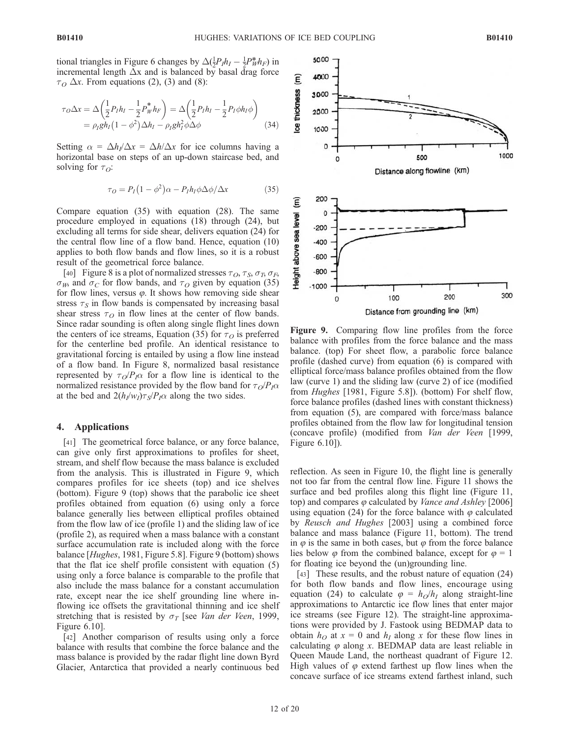tional triangles in Figure 6 changes by  $\Delta(\frac{1}{2}P_I h_I - \frac{1}{2}P_W^* h_F)$  in incremental length  $\Delta x$  and is balanced by basal drag force  $\tau$ <sup>O</sup>  $\Delta x$ . From equations (2), (3) and (8):

$$
\tau_O \Delta x = \Delta \left( \frac{1}{2} P_I h_I - \frac{1}{2} P_W^* h_F \right) = \Delta \left( \frac{1}{2} P_I h_I - \frac{1}{2} P_I \phi h_I \phi \right)
$$
  
=  $\rho_I g h_I (1 - \phi^2) \Delta h_I - \rho_I g h_I^2 \phi \Delta \phi$  (34)

Setting  $\alpha = \Delta h / \Delta x = \Delta h / \Delta x$  for ice columns having a horizontal base on steps of an up-down staircase bed, and solving for  $\tau_{\Omega}$ :

$$
\tau_O = P_I (1 - \phi^2) \alpha - P_I h_I \phi \Delta \phi / \Delta x \tag{35}
$$

Compare equation (35) with equation (28). The same procedure employed in equations (18) through (24), but excluding all terms for side shear, delivers equation (24) for the central flow line of a flow band. Hence, equation (10) applies to both flow bands and flow lines, so it is a robust result of the geometrical force balance.

[40] Figure 8 is a plot of normalized stresses  $\tau_O$ ,  $\tau_S$ ,  $\sigma_T$ ,  $\sigma_F$ ,  $\sigma_W$ , and  $\sigma_C$  for flow bands, and  $\tau_O$  given by equation (35) for flow lines, versus  $\varphi$ . It shows how removing side shear stress  $\tau_s$  in flow bands is compensated by increasing basal shear stress  $\tau<sub>O</sub>$  in flow lines at the center of flow bands. Since radar sounding is often along single flight lines down the centers of ice streams, Equation (35) for  $\tau<sub>O</sub>$  is preferred for the centerline bed profile. An identical resistance to gravitational forcing is entailed by using a flow line instead of a flow band. In Figure 8, normalized basal resistance represented by  $\tau_O/P_I\alpha$  for a flow line is identical to the normalized resistance provided by the flow band for  $\tau_O/P_I\alpha$ at the bed and  $2(h_1/w_1)\tau_s/P_1\alpha$  along the two sides.

#### 4. Applications

[41] The geometrical force balance, or any force balance, can give only first approximations to profiles for sheet, stream, and shelf flow because the mass balance is excluded from the analysis. This is illustrated in Figure 9, which compares profiles for ice sheets (top) and ice shelves (bottom). Figure 9 (top) shows that the parabolic ice sheet profiles obtained from equation (6) using only a force balance generally lies between elliptical profiles obtained from the flow law of ice (profile 1) and the sliding law of ice (profile 2), as required when a mass balance with a constant surface accumulation rate is included along with the force balance [Hughes, 1981, Figure 5.8]. Figure 9 (bottom) shows that the flat ice shelf profile consistent with equation (5) using only a force balance is comparable to the profile that also include the mass balance for a constant accumulation rate, except near the ice shelf grounding line where inflowing ice offsets the gravitational thinning and ice shelf stretching that is resisted by  $\sigma_T$  [see *Van der Veen*, 1999, Figure 6.10].

[42] Another comparison of results using only a force balance with results that combine the force balance and the mass balance is provided by the radar flight line down Byrd Glacier, Antarctica that provided a nearly continuous bed



Figure 9. Comparing flow line profiles from the force balance with profiles from the force balance and the mass balance. (top) For sheet flow, a parabolic force balance profile (dashed curve) from equation (6) is compared with elliptical force/mass balance profiles obtained from the flow law (curve 1) and the sliding law (curve 2) of ice (modified from *Hughes* [1981, Figure 5.8]). (bottom) For shelf flow, force balance profiles (dashed lines with constant thickness) from equation (5), are compared with force/mass balance profiles obtained from the flow law for longitudinal tension (concave profile) (modified from Van der Veen [1999, Figure 6.10]).

reflection. As seen in Figure 10, the flight line is generally not too far from the central flow line. Figure 11 shows the surface and bed profiles along this flight line (Figure 11, top) and compares  $\varphi$  calculated by *Vance and Ashley* [2006] using equation (24) for the force balance with  $\varphi$  calculated by Reusch and Hughes [2003] using a combined force balance and mass balance (Figure 11, bottom). The trend in  $\varphi$  is the same in both cases, but  $\varphi$  from the force balance lies below  $\varphi$  from the combined balance, except for  $\varphi = 1$ for floating ice beyond the (un)grounding line.

[43] These results, and the robust nature of equation (24) for both flow bands and flow lines, encourage using equation (24) to calculate  $\varphi = h_O/h_I$  along straight-line approximations to Antarctic ice flow lines that enter major ice streams (see Figure 12). The straight-line approximations were provided by J. Fastook using BEDMAP data to obtain  $h<sub>O</sub>$  at  $x = 0$  and  $h<sub>I</sub>$  along x for these flow lines in calculating  $\varphi$  along x. BEDMAP data are least reliable in Queen Maude Land, the northeast quadrant of Figure 12. High values of  $\varphi$  extend farthest up flow lines when the concave surface of ice streams extend farthest inland, such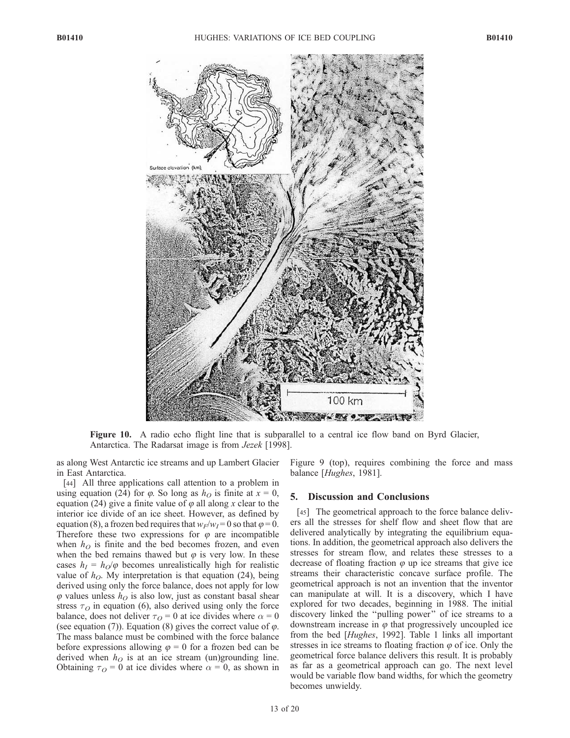

Figure 10. A radio echo flight line that is subparallel to a central ice flow band on Byrd Glacier, Antarctica. The Radarsat image is from *Jezek* [1998].

as along West Antarctic ice streams and up Lambert Glacier in East Antarctica.

[44] All three applications call attention to a problem in using equation (24) for  $\varphi$ . So long as  $h<sub>O</sub>$  is finite at  $x = 0$ , equation (24) give a finite value of  $\varphi$  all along x clear to the interior ice divide of an ice sheet. However, as defined by equation (8), a frozen bed requires that  $w_F/w_I = 0$  so that  $\varphi = 0$ . Therefore these two expressions for  $\varphi$  are incompatible when  $h<sub>O</sub>$  is finite and the bed becomes frozen, and even when the bed remains thawed but  $\varphi$  is very low. In these cases  $h_I = h_O/\varphi$  becomes unrealistically high for realistic value of  $h<sub>O</sub>$ . My interpretation is that equation (24), being derived using only the force balance, does not apply for low  $\varphi$  values unless  $h<sub>O</sub>$  is also low, just as constant basal shear stress  $\tau$ <sup>o</sup> in equation (6), also derived using only the force balance, does not deliver  $\tau<sub>O</sub> = 0$  at ice divides where  $\alpha = 0$ (see equation (7)). Equation (8) gives the correct value of  $\varphi$ . The mass balance must be combined with the force balance before expressions allowing  $\varphi = 0$  for a frozen bed can be derived when  $h<sub>O</sub>$  is at an ice stream (un)grounding line. Obtaining  $\tau$ <sup>o</sup> = 0 at ice divides where  $\alpha$  = 0, as shown in

Figure 9 (top), requires combining the force and mass balance [Hughes, 1981].

#### 5. Discussion and Conclusions

[45] The geometrical approach to the force balance delivers all the stresses for shelf flow and sheet flow that are delivered analytically by integrating the equilibrium equations. In addition, the geometrical approach also delivers the stresses for stream flow, and relates these stresses to a decrease of floating fraction  $\varphi$  up ice streams that give ice streams their characteristic concave surface profile. The geometrical approach is not an invention that the inventor can manipulate at will. It is a discovery, which I have explored for two decades, beginning in 1988. The initial discovery linked the ''pulling power'' of ice streams to a downstream increase in  $\varphi$  that progressively uncoupled ice from the bed [Hughes, 1992]. Table 1 links all important stresses in ice streams to floating fraction  $\varphi$  of ice. Only the geometrical force balance delivers this result. It is probably as far as a geometrical approach can go. The next level would be variable flow band widths, for which the geometry becomes unwieldy.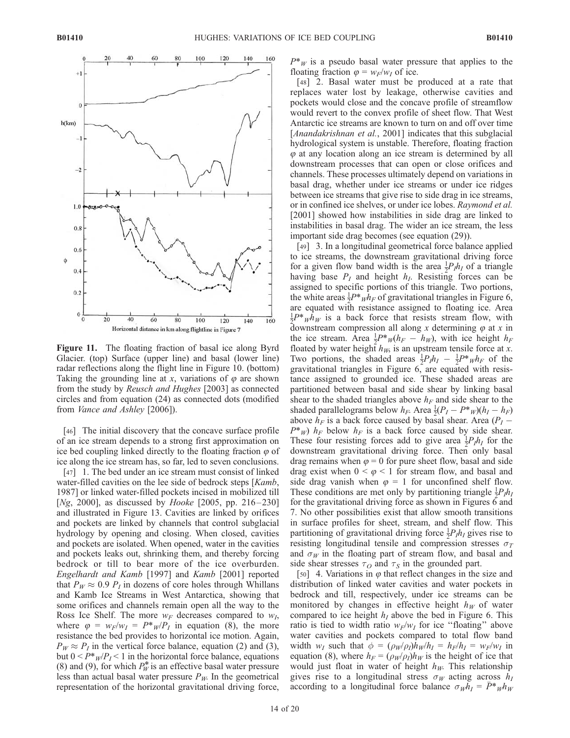![](_page_14_Figure_3.jpeg)

Figure 11. The floating fraction of basal ice along Byrd Glacier. (top) Surface (upper line) and basal (lower line) radar reflections along the flight line in Figure 10. (bottom) Taking the grounding line at x, variations of  $\varphi$  are shown from the study by Reusch and Hughes [2003] as connected circles and from equation (24) as connected dots (modified from Vance and Ashley [2006]).

[46] The initial discovery that the concave surface profile of an ice stream depends to a strong first approximation on ice bed coupling linked directly to the floating fraction  $\varphi$  of ice along the ice stream has, so far, led to seven conclusions.

[47] 1. The bed under an ice stream must consist of linked water-filled cavities on the lee side of bedrock steps [Kamb, 1987] or linked water-filled pockets incised in mobilized till [Ng, 2000], as discussed by *Hooke* [2005, pp. 216–230] and illustrated in Figure 13. Cavities are linked by orifices and pockets are linked by channels that control subglacial hydrology by opening and closing. When closed, cavities and pockets are isolated. When opened, water in the cavities and pockets leaks out, shrinking them, and thereby forcing bedrock or till to bear more of the ice overburden. Engelhardt and Kamb [1997] and Kamb [2001] reported that  $P_W \approx 0.9 P_I$  in dozens of core holes through Whillans and Kamb Ice Streams in West Antarctica, showing that some orifices and channels remain open all the way to the Ross Ice Shelf. The more  $w_F$  decreases compared to  $w_I$ , where  $\varphi = w_F/w_I = P^*_{W}/P_I$  in equation (8), the more resistance the bed provides to horizontal ice motion. Again,  $P_W \approx P_I$  in the vertical force balance, equation (2) and (3), but  $0 < P^*_{W}/P_I < 1$  in the horizontal force balance, equations (8) and (9), for which  $P_W^*$  is an effective basal water pressure less than actual basal water pressure  $P_W$ . In the geometrical representation of the horizontal gravitational driving force,

 $P^*$ <sub>W</sub> is a pseudo basal water pressure that applies to the floating fraction  $\varphi = w_F/w_I$  of ice.

[48] 2. Basal water must be produced at a rate that replaces water lost by leakage, otherwise cavities and pockets would close and the concave profile of streamflow would revert to the convex profile of sheet flow. That West Antarctic ice streams are known to turn on and off over time [Anandakrishnan et al., 2001] indicates that this subglacial hydrological system is unstable. Therefore, floating fraction  $\varphi$  at any location along an ice stream is determined by all downstream processes that can open or close orifices and channels. These processes ultimately depend on variations in basal drag, whether under ice streams or under ice ridges between ice streams that give rise to side drag in ice streams, or in confined ice shelves, or under ice lobes. Raymond et al. [2001] showed how instabilities in side drag are linked to instabilities in basal drag. The wider an ice stream, the less important side drag becomes (see equation (29)).

[49] 3. In a longitudinal geometrical force balance applied to ice streams, the downstream gravitational driving force for a given flow band width is the area  $\frac{1}{2}P_1h_1$  of a triangle having base  $P_I$  and height  $h_I$ . Resisting forces can be assigned to specific portions of this triangle. Two portions, the white areas  $\frac{1}{2}P^*_{W}h_F$  of gravitational triangles in Figure 6, are equated with resistance assigned to floating ice. Area  $\frac{1}{2}P^* \psi \bar{h}_W$  is a back force that resists stream flow, with downstream compression all along x determining  $\varphi$  at x in the ice stream. Area  $\frac{1}{2}P^*w(h_F - h_W)$ , with ice height  $h_F$ floated by water height  $h_W$ , is an upstream tensile force at x. Two portions, the shaded areas  $\frac{1}{2}P_I h_I - \frac{1}{2}P^*_{I\mu} h_F$  of the gravitational triangles in Figure 6, are equated with resistance assigned to grounded ice. These shaded areas are partitioned between basal and side shear by linking basal shear to the shaded triangles above  $h_F$  and side shear to the shaded parallelograms below  $h_F$ . Area  $\frac{1}{2}(P_I - P^*w)(h_I - h_F)$ above  $h_F$  is a back force caused by basal shear. Area ( $P_I$  –  $P^*$ <sub>W</sub>)  $h_F$  below  $h_F$  is a back force caused by side shear. These four resisting forces add to give area  $\frac{1}{2}P_I h_I$  for the downstream gravitational driving force. Then only basal drag remains when  $\varphi = 0$  for pure sheet flow, basal and side drag exist when  $0 \le \varphi \le 1$  for stream flow, and basal and side drag vanish when  $\varphi = 1$  for unconfined shelf flow. These conditions are met only by partitioning triangle  $\frac{1}{2}P_I h_I$ for the gravitational driving force as shown in Figures  $\vec{6}$  and 7. No other possibilities exist that allow smooth transitions in surface profiles for sheet, stream, and shelf flow. This partitioning of gravitational driving force  $\frac{1}{2}P_I h_I$  gives rise to resisting longitudinal tensile and compression stresses  $\sigma_T$ and  $\sigma_W$  in the floating part of stream flow, and basal and side shear stresses  $\tau_O$  and  $\tau_S$  in the grounded part.

[50] 4. Variations in  $\varphi$  that reflect changes in the size and distribution of linked water cavities and water pockets in bedrock and till, respectively, under ice streams can be monitored by changes in effective height  $h_W$  of water compared to ice height  $h_I$  above the bed in Figure 6. This ratio is tied to width ratio  $w_F/w_I$  for ice "floating" above water cavities and pockets compared to total flow band width  $w_I$  such that  $\phi = (\rho_W/\rho_I)h_W/h_I = h_F/h_I = w_F/w_I$  in equation (8), where  $h_F = (\rho_W/\rho_I)h_W$  is the height of ice that would just float in water of height  $h_W$ . This relationship gives rise to a longitudinal stress  $\sigma_W$  acting across  $h_I$ according to a longitudinal force balance  $\sigma_W h_I = \bar{P}^* \psi_h h_W$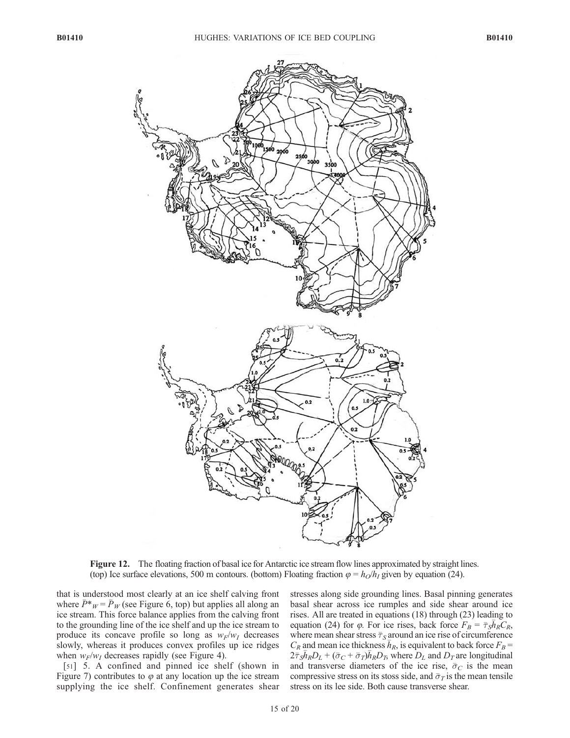![](_page_15_Figure_3.jpeg)

Figure 12. The floating fraction of basal ice for Antarctic ice stream flow lines approximated by straight lines. (top) Ice surface elevations, 500 m contours. (bottom) Floating fraction  $\varphi = h_0/h_1$  given by equation (24).

that is understood most clearly at an ice shelf calving front where  $\bar{P}^*_{W} = \bar{P}_W$  (see Figure 6, top) but applies all along an ice stream. This force balance applies from the calving front to the grounding line of the ice shelf and up the ice stream to produce its concave profile so long as  $w_F/w_I$  decreases slowly, whereas it produces convex profiles up ice ridges when  $w_F/w_I$  decreases rapidly (see Figure 4).

[51] 5. A confined and pinned ice shelf (shown in Figure 7) contributes to  $\varphi$  at any location up the ice stream supplying the ice shelf. Confinement generates shear stresses along side grounding lines. Basal pinning generates basal shear across ice rumples and side shear around ice rises. All are treated in equations (18) through (23) leading to equation (24) for  $\varphi$ . For ice rises, back force  $F_B = \bar{\tau}_S \bar{h}_R C_R$ , where mean shear stress  $\bar{\tau}_S$  around an ice rise of circumference  $C_R$  and mean ice thickness  $\bar{h}_R$ , is equivalent to back force  $F_B$  =  $2\bar{\tau}_{S} \bar{h}_{R} D_{L} + (\bar{\sigma}_{C} + \bar{\sigma}_{T}) \bar{h}_{R} D_{T}$ , where  $D_{L}$  and  $D_{T}$  are longitudinal and transverse diameters of the ice rise,  $\bar{\sigma}_C$  is the mean compressive stress on its stoss side, and  $\bar{\sigma}_T$  is the mean tensile stress on its lee side. Both cause transverse shear.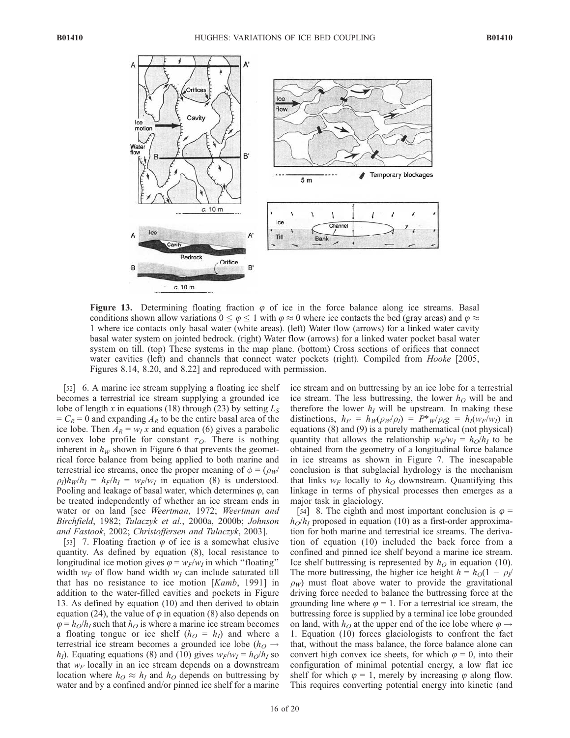![](_page_16_Figure_3.jpeg)

Figure 13. Determining floating fraction  $\varphi$  of ice in the force balance along ice streams. Basal conditions shown allow variations  $0 \le \varphi \le 1$  with  $\varphi \approx 0$  where ice contacts the bed (gray areas) and  $\varphi \approx$ 1 where ice contacts only basal water (white areas). (left) Water flow (arrows) for a linked water cavity basal water system on jointed bedrock. (right) Water flow (arrows) for a linked water pocket basal water system on till. (top) These systems in the map plane. (bottom) Cross sections of orifices that connect water cavities (left) and channels that connect water pockets (right). Compiled from *Hooke* [2005, Figures 8.14, 8.20, and 8.22] and reproduced with permission.

[52] 6. A marine ice stream supplying a floating ice shelf becomes a terrestrial ice stream supplying a grounded ice lobe of length x in equations (18) through (23) by setting  $L_s$  $=C_R = 0$  and expanding  $A_R$  to be the entire basal area of the ice lobe. Then  $A_R = w_I x$  and equation (6) gives a parabolic convex lobe profile for constant  $\tau_O$ . There is nothing inherent in  $h_W$  shown in Figure 6 that prevents the geometrical force balance from being applied to both marine and terrestrial ice streams, once the proper meaning of  $\phi = (\rho_W/\rho)$  $\rho_I$ ) $h_W/h_I = h_F/h_I = w_F/w_I$  in equation (8) is understood. Pooling and leakage of basal water, which determines  $\varphi$ , can be treated independently of whether an ice stream ends in water or on land [see Weertman, 1972; Weertman and Birchfield, 1982; Tulaczyk et al., 2000a, 2000b; Johnson and Fastook, 2002; Christoffersen and Tulaczyk, 2003].

[53] 7. Floating fraction  $\varphi$  of ice is a somewhat elusive quantity. As defined by equation (8), local resistance to longitudinal ice motion gives  $\varphi = w_F/w_I$  in which "floating" width  $w_F$  of flow band width  $w_I$  can include saturated till that has no resistance to ice motion [Kamb, 1991] in addition to the water-filled cavities and pockets in Figure 13. As defined by equation (10) and then derived to obtain equation (24), the value of  $\varphi$  in equation (8) also depends on  $\varphi = h_O/h_I$  such that  $h_O$  is where a marine ice stream becomes a floating tongue or ice shelf  $(h<sub>O</sub> = h<sub>I</sub>)$  and where a terrestrial ice stream becomes a grounded ice lobe ( $h<sub>O</sub> \rightarrow$  $h_I$ ). Equating equations (8) and (10) gives  $w_F/w_I = h_O/h_I$  so that  $w_F$  locally in an ice stream depends on a downstream location where  $h_O \approx h_I$  and  $h_O$  depends on buttressing by water and by a confined and/or pinned ice shelf for a marine ice stream and on buttressing by an ice lobe for a terrestrial ice stream. The less buttressing, the lower  $h<sub>O</sub>$  will be and therefore the lower  $h_I$  will be upstream. In making these distinctions,  $h_F = h_W(\rho_W/\rho_I) = P^*_{W}/\rho_I g = h_I(w_F/w_I)$  in equations (8) and (9) is a purely mathematical (not physical) quantity that allows the relationship  $w_F/w_I = h_O/h_I$  to be obtained from the geometry of a longitudinal force balance in ice streams as shown in Figure 7. The inescapable conclusion is that subglacial hydrology is the mechanism that links  $w_F$  locally to  $h_O$  downstream. Quantifying this linkage in terms of physical processes then emerges as a major task in glaciology.

[54] 8. The eighth and most important conclusion is  $\varphi =$  $h_0/h_1$  proposed in equation (10) as a first-order approximation for both marine and terrestrial ice streams. The derivation of equation (10) included the back force from a confined and pinned ice shelf beyond a marine ice stream. Ice shelf buttressing is represented by  $h<sub>O</sub>$  in equation (10). The more buttressing, the higher ice height  $h = h<sub>O</sub>(1 - \rho_I/2)$  $\rho_W$ ) must float above water to provide the gravitational driving force needed to balance the buttressing force at the grounding line where  $\varphi = 1$ . For a terrestrial ice stream, the buttressing force is supplied by a terminal ice lobe grounded on land, with  $h<sub>O</sub>$  at the upper end of the ice lobe where  $\varphi \rightarrow$ 1. Equation (10) forces glaciologists to confront the fact that, without the mass balance, the force balance alone can convert high convex ice sheets, for which  $\varphi = 0$ , into their configuration of minimal potential energy, a low flat ice shelf for which  $\varphi = 1$ , merely by increasing  $\varphi$  along flow. This requires converting potential energy into kinetic (and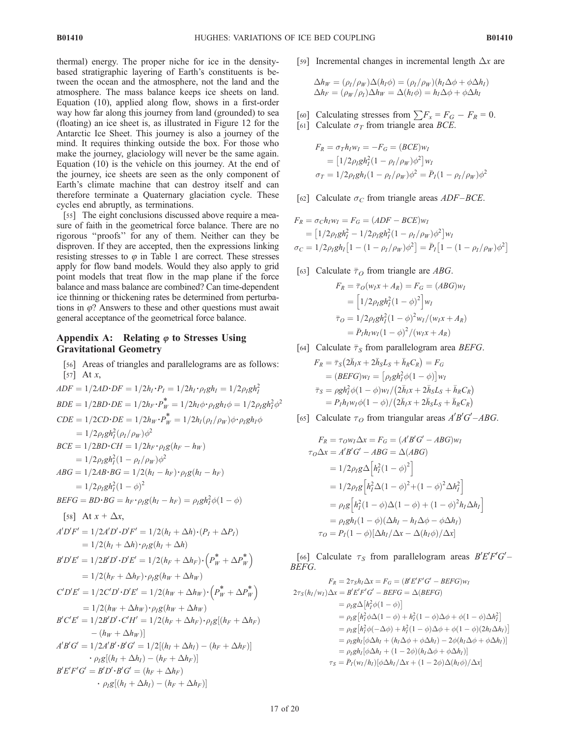thermal) energy. The proper niche for ice in the densitybased stratigraphic layering of Earth's constituents is between the ocean and the atmosphere, not the land and the atmosphere. The mass balance keeps ice sheets on land. Equation (10), applied along flow, shows in a first-order way how far along this journey from land (grounded) to sea (floating) an ice sheet is, as illustrated in Figure 12 for the Antarctic Ice Sheet. This journey is also a journey of the mind. It requires thinking outside the box. For those who make the journey, glaciology will never be the same again. Equation (10) is the vehicle on this journey. At the end of the journey, ice sheets are seen as the only component of Earth's climate machine that can destroy itself and can therefore terminate a Quaternary glaciation cycle. These cycles end abruptly, as terminations.

[55] The eight conclusions discussed above require a measure of faith in the geometrical force balance. There are no rigorous ''proofs'' for any of them. Neither can they be disproven. If they are accepted, then the expressions linking resisting stresses to  $\varphi$  in Table 1 are correct. These stresses apply for flow band models. Would they also apply to grid point models that treat flow in the map plane if the force balance and mass balance are combined? Can time-dependent ice thinning or thickening rates be determined from perturbations in  $\varphi$ ? Answers to these and other questions must await general acceptance of the geometrical force balance.

#### Appendix A: Relating  $\varphi$  to Stresses Using Gravitational Geometry

[56] Areas of triangles and parallelograms are as follows:  
\n[57] At x,  
\n
$$
ADF = 1/2AD \cdot DF = 1/2h_I \cdot P_I = 1/2h_I \cdot \rho_I g h_I = 1/2\rho_I g h_I^2
$$
  
\n $BDE = 1/2BD \cdot DE = 1/2h_F \cdot P_W^* = 1/2h_I \phi \cdot \rho_I g h_I \phi = 1/2\rho_I g h_I^2 \phi^2$   
\n $ODE = 1/2CD \cdot DE = 1/2h_W \cdot P_W^* = 1/2h_I(\rho_I/\rho_W) \phi \cdot \rho_I g h_I \phi$   
\n $= 1/2\rho_I g h_I^2(\rho_I/\rho_W) \phi^2$   
\n $BCE = 1/2BD \cdot CH = 1/2h_F \cdot \rho_I g(h_F - h_W)$   
\n $= 1/2\rho_I g h_I^2 (1 - \rho_I/\rho_W) \phi^2$   
\n $ABC = 1/2AB \cdot BG = 1/2(h_I - h_F) \cdot \rho_I g(h_I - h_F)$   
\n $= 1/2\rho_I g h_I^2 (1 - \phi)^2$   
\n $BEFG = BD \cdot BG = h_F \cdot \rho_I g(h_I - h_F) = \rho_I g h_I^2 \phi (1 - \phi)$   
\n[58] At x +  $\Delta x$ ,  
\n $A'DF' = 1/2A'D' \cdot D'F' = 1/2(h_I + \Delta h) \cdot (P_I + \Delta P_I)$   
\n $= 1/2(h_I + \Delta h) \cdot \rho_I g(h_I + \Delta h)$   
\n $B'D'E' = 1/2B'D' \cdot D'E' = 1/2(h_F + \Delta h_F) \cdot (P_W^* + \Delta P_W^*)$   
\n $= 1/2(h_F + \Delta h_F) \cdot \rho_I g(h_W + \Delta h_W)$   
\n $C'D'E' = 1/2C'D' \cdot D'E' = 1/2(h_W + \Delta h_W) \cdot (P_W^* + \Delta P_W^*)$   
\n $= 1/2(h_W + \Delta h_W) \cdot \rho_I g(h_W + \Delta h_W)$   
\n $B'C'E' = 1/2B'D' \cdot C'H' = 1/2(h_I + \Delta h_I) - (h_I + \Delta h_I)$   
\n $-\rho_I g[(h_I + \$ 

[59] Incremental changes in incremental length  $\Delta x$  are

$$
\Delta h_W = (\rho_I / \rho_W) \Delta(h_I \phi) = (\rho_I / \rho_W) (h_I \Delta \phi + \phi \Delta h_I)
$$
  

$$
\Delta h_F = (\rho_W / \rho_I) \Delta h_W = \Delta(h_I \phi) = h_I \Delta \phi + \phi \Delta h_I
$$

- [60] Calculating stresses from  $\sum F_x = F_G F_R = 0$ .
- [61] Calculate  $\sigma_T$  from triangle area *BCE*.

$$
F_R = \sigma_T h_I w_I = -F_G = (BCE)w_I
$$
  
= 
$$
[1/2\rho_I g h_I^2 (1 - \rho_I/\rho_W) \phi^2] w_I
$$
  

$$
\sigma_T = 1/2\rho_I g h_I (1 - \rho_I/\rho_W) \phi^2 = \bar{P}_I (1 - \rho_I/\rho_W) \phi^2
$$

[62] Calculate  $\sigma_C$  from triangle areas *ADF–BCE*.

$$
F_R = \sigma_C h_I w_I = F_G = (ADE - BCE)w_I
$$
  
=  $[1/2\rho_I g h_I^2 - 1/2\rho_I g h_I^2 (1 - \rho_I/\rho_W) \phi^2] w_I$   

$$
\sigma_C = 1/2\rho_I g h_I [1 - (1 - \rho_I/\rho_W) \phi^2] = \bar{P}_I [1 - (1 - \rho_I/\rho_W) \phi^2]
$$

[63] Calculate  $\bar{\tau}_O$  from triangle are *ABG*.

$$
F_R = \overline{\tau}_O(w_I x + A_R) = F_G = (ABG)w_I
$$
  
= 
$$
\left[1/2\rho_I g h_I^2 (1 - \phi)^2\right] w_I
$$
  

$$
\overline{\tau}_O = 1/2\rho_I g h_I^2 (1 - \phi)^2 w_I/(w_I x + A_R)
$$
  
= 
$$
\overline{P_I} h_I w_I (1 - \phi)^2 / (w_I x + A_R)
$$

[64] Calculate  $\bar{\tau}_S$  from parallelogram area *BEFG*.

$$
F_R = \bar{\tau}_S (2\bar{h}_I x + 2\bar{h}_S L_S + \bar{h}_R C_R) = F_G
$$
  
=  $(BEFG)w_I = [\rho_I gh_I^2 \phi(1 - \phi)]w_I$   

$$
\bar{\tau}_S = \rho g h_I^2 \phi(1 - \phi)w_I/(2\bar{h}_I x + 2\bar{h}_S L_S + \bar{h}_R C_R)
$$
  
=  $P_I h_I w_I \phi(1 - \phi)/(2\bar{h}_I x + 2\bar{h}_S L_S + \bar{h}_R C_R)$ 

[65] Calculate  $\tau_O$  from triangular areas  $A'B'G' - ABG$ .

$$
F_R = \tau_0 w_I \Delta x = F_G = (A'B'G' - ABG)w_I
$$
  
\n
$$
\tau_0 \Delta x = A'B'G' - ABG = \Delta(ABG)
$$
  
\n
$$
= 1/2\rho_I g \Delta \left[ h_I^2 (1 - \phi)^2 \right]
$$
  
\n
$$
= 1/2\rho_I g \left[ h_I^2 \Delta (1 - \phi)^2 + (1 - \phi)^2 \Delta h_I^2 \right]
$$
  
\n
$$
= \rho_I g \left[ h_I^2 (1 - \phi) \Delta (1 - \phi) + (1 - \phi)^2 h_I \Delta h_I \right]
$$
  
\n
$$
= \rho_I g h_I (1 - \phi) (\Delta h_I - h_I \Delta \phi - \phi \Delta h_I)
$$
  
\n
$$
\tau_O = P_I (1 - \phi) [\Delta h_I / \Delta x - \Delta (h_I \phi) / \Delta x]
$$

[66] Calculate  $\tau_S$  from parallelogram areas  $B'E'F'G'$ BEFG.

$$
F_R = 2\tau_S h_I \Delta x = F_G = (B'E'F'G' - BEFG)w_I
$$
  
\n
$$
2\tau_S(h_I/w_I) \Delta x = B'E'F'G' - BEFG = \Delta(BEFG)
$$
  
\n
$$
= \rho_I g \Delta[h_I^2 \phi(1-\phi)]
$$
  
\n
$$
= \rho_I g [h_I^2 \phi \Delta(1-\phi) + h_I^2(1-\phi) \Delta \phi + \phi(1-\phi) \Delta h_I^2]
$$
  
\n
$$
= \rho_I g [h_I^2 \phi(-\Delta \phi) + h_I^2(1-\phi) \Delta \phi + \phi(1-\phi)(2h_I \Delta h_I)]
$$
  
\n
$$
= \rho_I g h_I [\phi \Delta h_I + (h_I \Delta \phi + \phi \Delta h_I) - 2\phi(h_I \Delta \phi + \phi \Delta h_I)]
$$
  
\n
$$
= \rho_I g h_I [\phi \Delta h_I + (1-2\phi)(h_I \Delta \phi + \phi \Delta h_I)]
$$
  
\n
$$
\tau_S = \bar{P}_I(w_I/h_I) [\phi \Delta h_I / \Delta x + (1-2\phi) \Delta(h_I \phi) / \Delta x]
$$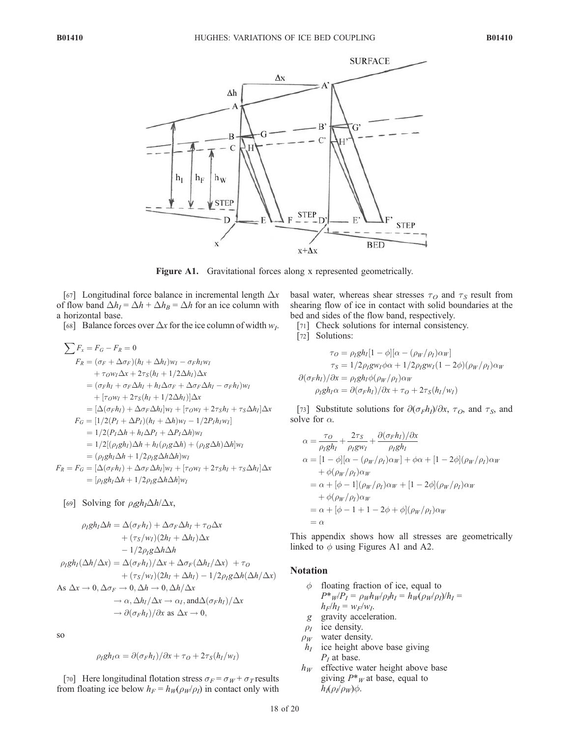![](_page_18_Figure_3.jpeg)

Figure A1. Gravitational forces along x represented geometrically.

[67] Longitudinal force balance in incremental length  $\Delta x$ of flow band  $\Delta h_I = \Delta h + \Delta h_B = \Delta h$  for an ice column with a horizontal base.

[68] Balance forces over  $\Delta x$  for the ice column of width  $w_I$ .

$$
\sum F_x = F_G - F_R = 0
$$
  
\n
$$
F_R = (\sigma_F + \Delta \sigma_F)(h_I + \Delta h_I)w_I - \sigma_F h_I w_I
$$
  
\n
$$
+ \tau_o w_I \Delta x + 2\tau_S (h_I + 1/2\Delta h_I) \Delta x
$$
  
\n
$$
= (\sigma_F h_I + \sigma_F \Delta h_I + h_I \Delta \sigma_F + \Delta \sigma_F \Delta h_I - \sigma_F h_I)w_I
$$
  
\n
$$
+ [\tau_o w_I + 2\tau_S (h_I + 1/2\Delta h_I)]\Delta x
$$
  
\n
$$
= [\Delta(\sigma_F h_I) + \Delta \sigma_F \Delta h_I]w_I + [\tau_o w_I + 2\tau_S h_I + \tau_S \Delta h_I] \Delta x
$$
  
\n
$$
F_G = [1/2(P_I + \Delta P_I)(h_I + \Delta h)w_I - 1/2P_I h_I w_I]
$$
  
\n
$$
= 1/2(P_I \Delta h + h_I \Delta P_I + \Delta P_I \Delta h)w_I
$$
  
\n
$$
= 1/2[(\rho_I g h_I) \Delta h + h_I(\rho_I g \Delta h) + (\rho_I g \Delta h) \Delta h]w_I
$$
  
\n
$$
= (\rho_I g h_I \Delta h + 1/2 \rho_I g \Delta h \Delta h)w_I
$$
  
\n
$$
= [\rho_I g h_I \Delta h + 1/2 \rho_I g \Delta h \Delta h]w_I
$$

[69] Solving for  $\rho_{I}gh_{I}\Delta h/\Delta x$ ,

$$
\rho_I gh_I \Delta h = \Delta(\sigma_F h_I) + \Delta \sigma_F \Delta h_I + \tau_O \Delta x \n+ (\tau_S/w_I)(2h_I + \Delta h_I) \Delta x \n- 1/2 \rho_I g \Delta h \Delta h \n\rho_I gh_I(\Delta h/\Delta x) = \Delta(\sigma_F h_I)/\Delta x + \Delta \sigma_F(\Delta h_I/\Delta x) + \tau_O \n+ (\tau_S/w_I)(2h_I + \Delta h_I) - 1/2 \rho_I g \Delta h(\Delta h/\Delta x) \nAs \Delta x \to 0, \Delta \sigma_F \to 0, \Delta h \to 0, \Delta h/\Delta x \n\to \alpha, \Delta h_I/\Delta x \to \alpha_I, \text{and} \Delta(\sigma_F h_I)/\Delta x \n\to \partial(\sigma_F h_I)/\partial x \text{ as } \Delta x \to 0,
$$

so

$$
\rho_I g h_I \alpha = \partial(\sigma_F h_I) / \partial x + \tau_O + 2\tau_S (h_I / w_I)
$$

[70] Here longitudinal flotation stress  $\sigma_F = \sigma_W + \sigma_T$  results from floating ice below  $h_F = h_W(\rho_W/\rho_I)$  in contact only with basal water, whereas shear stresses  $\tau<sub>O</sub>$  and  $\tau<sub>S</sub>$  result from shearing flow of ice in contact with solid boundaries at the bed and sides of the flow band, respectively.

- [71] Check solutions for internal consistency.
- [72] Solutions:

$$
\tau_O = \rho_I gh_I [1 - \phi][\alpha - (\rho_W/\rho_I)\alpha_W]
$$

$$
\tau_S = 1/2\rho_I g w_I \phi \alpha + 1/2\rho_I g w_I (1 - 2\phi)(\rho_W/\rho_I)\alpha_W
$$

$$
\partial(\sigma_F h_I)/\partial x = \rho_I gh_I \phi(\rho_W/\rho_I)\alpha_W
$$

$$
\rho_I gh_I \alpha = \partial(\sigma_F h_I)/\partial x + \tau_O + 2\tau_S(h_I/w_I)
$$

[73] Substitute solutions for  $\partial(\sigma_F h_I)/\partial x$ ,  $\tau_O$ , and  $\tau_S$ , and solve for  $\alpha$ .

$$
\alpha = \frac{\tau o}{\rho_l gh_I} + \frac{2\tau s}{\rho_l gw_I} + \frac{\partial(\sigma_F h_I)/\partial x}{\rho_I gh_I}
$$
  
\n
$$
\alpha = [1 - \phi][\alpha - (\rho_W/\rho_I)\alpha_W] + \phi\alpha + [1 - 2\phi](\rho_W/\rho_I)\alpha_W
$$
  
\n
$$
+ \phi(\rho_W/\rho_I)\alpha_W
$$
  
\n
$$
= \alpha + [\phi - 1](\rho_W/\rho_I)\alpha_W + [1 - 2\phi](\rho_W/\rho_I)\alpha_W
$$
  
\n
$$
+ \phi(\rho_W/\rho_I)\alpha_W
$$
  
\n
$$
= \alpha + [\phi - 1 + 1 - 2\phi + \phi](\rho_W/\rho_I)\alpha_W
$$
  
\n
$$
= \alpha
$$

This appendix shows how all stresses are geometrically linked to  $\phi$  using Figures A1 and A2.

#### Notation

- $\phi$  floating fraction of ice, equal to  $P^*_{W}P_I = \rho_W h_W \rho_I h_I = h_W (\rho_W \rho_I) / h_I =$  $h_F/h_I = w_F/w_I$ .
- g gravity acceleration.
- $\rho_I$  ice density.
- $\rho_W$  water density.
- $h_I$  ice height above base giving  $P_I$  at base.
- $h_W$  effective water height above base giving  $P^*$ <sub>*W*</sub> at base, equal to  $h_I(\rho_I/\rho_W)\phi$ .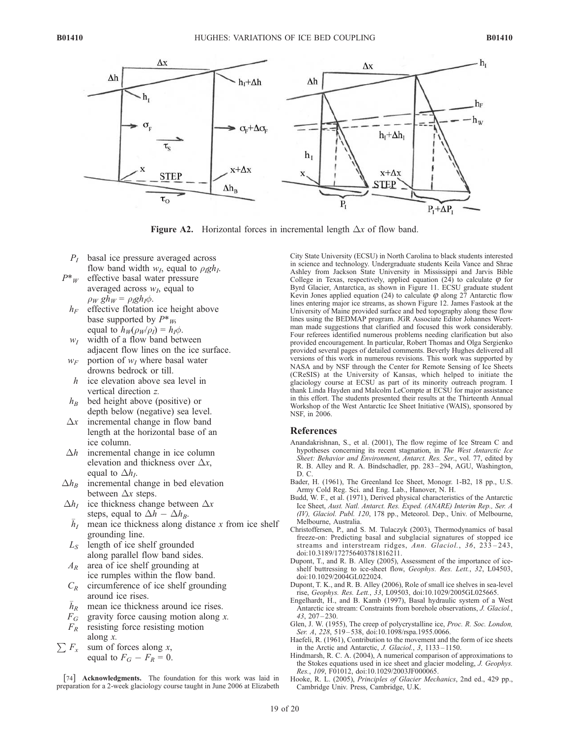![](_page_19_Figure_3.jpeg)

**Figure A2.** Horizontal forces in incremental length  $\Delta x$  of flow band.

- $P<sub>I</sub>$  basal ice pressure averaged across flow band width  $w_I$ , equal to  $\rho_I g h_I$ .
- $P^*$ <sub>W</sub> effective basal water pressure averaged across  $w_I$ , equal to  $\rho_W gh_W = \rho_R gh_I \phi.$ 
	- $h_F$  effective flotation ice height above base supported by  $P^*_{W}$ , equal to  $h_W(\rho_W/\rho_I) = h_I \phi$ .
	- $w_1$  width of a flow band between adjacent flow lines on the ice surface.
	- $w_F$  portion of  $w_I$  where basal water drowns bedrock or till.
	- h ice elevation above sea level in vertical direction z.
	- $h_B$  bed height above (positive) or depth below (negative) sea level.
- $\Delta x$  incremental change in flow band length at the horizontal base of an ice column.
- $\Delta h$  incremental change in ice column elevation and thickness over  $\Delta x$ , equal to  $\Delta h_I$ .
- $\Delta h_B$  incremental change in bed elevation between  $\Delta x$  steps.
- $\Delta h_I$  ice thickness change between  $\Delta x$ <br>steps, equal to  $\Delta h \Delta h_B$ .
	- steps, equal to  $\Delta h \Delta h_B$ .<br> $\bar{h}_I$  mean ice thickness along distance x from ice shelf grounding line.
- $L<sub>S</sub>$  length of ice shelf grounded along parallel flow band sides.
- $A_R$  area of ice shelf grounding at ice rumples within the flow band.
- $C_R$  circumference of ice shelf grounding<br>around ice rises.
- around ice rises.<br> $\bar{h}_R$  mean ice thickness around ice rises.
- $F_G$  gravity force causing motion along x.
- $F_R$  resisting force resisting motion along x.
- $\sum F_x$  sum of forces along x, equal to  $F_G - F_R = 0$ .

[74] Acknowledgments. The foundation for this work was laid in preparation for a 2-week glaciology course taught in June 2006 at Elizabeth

City State University (ECSU) in North Carolina to black students interested in science and technology. Undergraduate students Keila Vance and Shrae Ashley from Jackson State University in Mississippi and Jarvis Bible College in Texas, respectively, applied equation (24) to calculate  $\varphi$  for Byrd Glacier, Antarctica, as shown in Figure 11. ECSU graduate student Kevin Jones applied equation (24) to calculate  $\varphi$  along 27 Antarctic flow lines entering major ice streams, as shown Figure 12. James Fastook at the University of Maine provided surface and bed topography along these flow lines using the BEDMAP program. JGR Associate Editor Johannes Weertman made suggestions that clarified and focused this work considerably. Four referees identified numerous problems needing clarification but also provided encouragement. In particular, Robert Thomas and Olga Sergienko provided several pages of detailed comments. Beverly Hughes delivered all versions of this work in numerous revisions. This work was supported by NASA and by NSF through the Center for Remote Sensing of Ice Sheets (CReSIS) at the University of Kansas, which helped to initiate the glaciology course at ECSU as part of its minority outreach program. I thank Linda Hayden and Malcolm LeCompte at ECSU for major assistance in this effort. The students presented their results at the Thirteenth Annual Workshop of the West Antarctic Ice Sheet Initiative (WAIS), sponsored by NSF, in 2006.

#### References

- Anandakrishnan, S., et al. (2001), The flow regime of Ice Stream C and hypotheses concerning its recent stagnation, in The West Antarctic Ice Sheet: Behavior and Environment, Antarct. Res. Ser., vol. 77, edited by R. B. Alley and R. A. Bindschadler, pp. 283 – 294, AGU, Washington, D. C.
- Bader, H. (1961), The Greenland Ice Sheet, Monogr. 1-B2, 18 pp., U.S. Army Cold Reg. Sci. and Eng. Lab., Hanover, N. H.
- Budd, W. F., et al. (1971), Derived physical characteristics of the Antarctic Ice Sheet, Aust. Natl. Antarct. Res. Exped. (ANARE) Interim Rep., Ser. A (IV), Glaciol. Publ. 120, 178 pp., Meteorol. Dep., Univ. of Melbourne, Melbourne, Australia.
- Christoffersen, P., and S. M. Tulaczyk (2003), Thermodynamics of basal freeze-on: Predicting basal and subglacial signatures of stopped ice streams and interstream ridges, Ann. Glaciol., 36, 233-243, doi:10.3189/172756403781816211.
- Dupont, T., and R. B. Alley (2005), Assessment of the importance of iceshelf buttressing to ice-sheet flow, Geophys. Res. Lett., 32, L04503, doi:10.1029/2004GL022024.
- Dupont, T. K., and R. B. Alley (2006), Role of small ice shelves in sea-level rise, Geophys. Res. Lett., 33, L09503, doi:10.1029/2005GL025665.
- Engelhardt, H., and B. Kamb (1997), Basal hydraulic system of a West Antarctic ice stream: Constraints from borehole observations, J. Glaciol., 43, 207 – 230.
- Glen, J. W. (1955), The creep of polycrystalline ice, Proc. R. Soc. London, Ser. A, 228, 519–538, doi:10.1098/rspa.1955.0066.
- Haefeli, R. (1961), Contribution to the movement and the form of ice sheets in the Arctic and Antarctic, J. Glaciol., 3, 1133 – 1150.
- Hindmarsh, R. C. A. (2004), A numerical comparison of approximations to the Stokes equations used in ice sheet and glacier modeling, J. Geophys. Res., 109, F01012, doi:10.1029/2003JF000065.
- Hooke, R. L. (2005), Principles of Glacier Mechanics, 2nd ed., 429 pp., Cambridge Univ. Press, Cambridge, U.K.